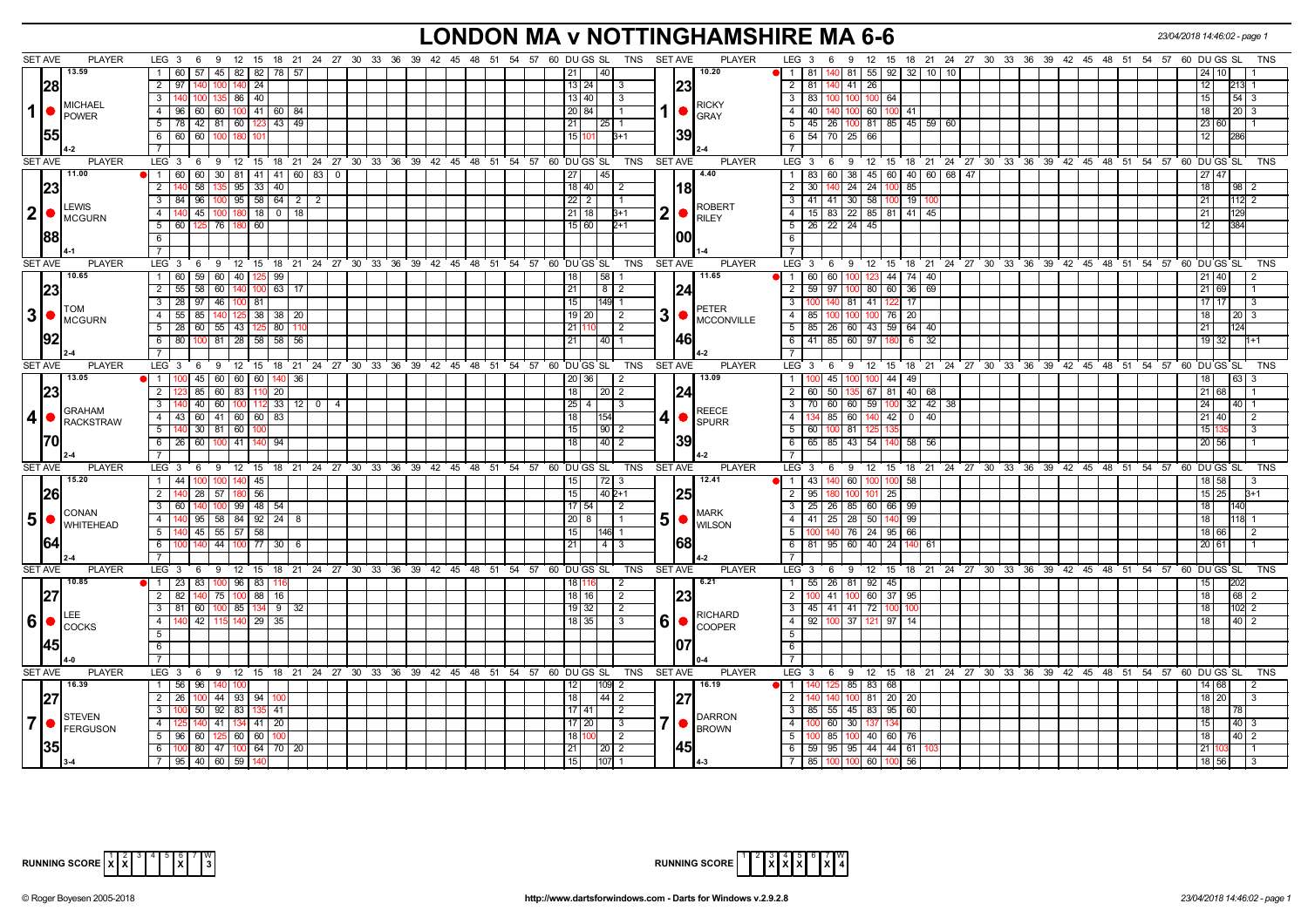# **LONDON MA v NOTTINGHAMSHIRE MA 6-6** *23/04/2018 14:46:02 - page 1*

|                | <b>SET AVE</b><br><b>PLAYER</b>                 | LEG $3 \quad 6$<br>9 12 15 18 21 24 27 30 33 36 39 42 45 48 51 54 57 60 DUGS SL       |    |                 |                                                         |  | TNS                                | <b>SET AVE</b> | <b>PLAYER</b>                | LEG 3 6 9 12 15 18 21 24 27 30 33 36 39 42 45 48 51 54 57 60 DUGS SL                 |  |  |                 | TNS                    |
|----------------|-------------------------------------------------|---------------------------------------------------------------------------------------|----|-----------------|---------------------------------------------------------|--|------------------------------------|----------------|------------------------------|--------------------------------------------------------------------------------------|--|--|-----------------|------------------------|
|                | 13.59                                           | 1 60<br>57<br>  45   82   82   78   57                                                |    |                 |                                                         |  | 140<br>21                          |                | 10.20                        | 81<br>55 92 32<br>-81<br>10   10  <br>$\overline{1}$                                 |  |  |                 | 10 I                   |
|                | 28                                              | 2 97 140<br>$100$ 140 24                                                              |    |                 |                                                         |  | 13 24 <br>3                        | 23             |                              | 2   81   140   41   26                                                               |  |  | 12              | 213                    |
|                | <b>MICHAEL</b>                                  | $3 \mid 140$<br>100 <sub>l</sub><br>$135$ 86 40                                       |    |                 |                                                         |  | 13 40<br>-3                        |                | <b>RICKY</b>                 | $\overline{\mathbf{3}}$<br>l 83 <b> </b> 100 <b> </b> 100<br>$100 \quad 64$          |  |  | 15 I            | $54 \mid 3$            |
| $\mathbf{1}$   | <b>I</b> POWER                                  | $4$   96   60   60   100   41   60   84                                               |    |                 |                                                         |  | 20 84                              | 1   ●          | <b>GRAY</b>                  | 40 140 100 60 100 41<br>4 <sup>1</sup>                                               |  |  | 18              | $20 \mid 3$            |
|                |                                                 | $5$   78   42   81   60   123   43   49                                               |    |                 |                                                         |  | 21<br> 25 1                        |                |                              | $5   45   26   100   81   85   45   59   60$                                         |  |  | 23 60           |                        |
|                | 1551                                            | 6 60 60 100 180                                                                       |    |                 |                                                         |  | 15 <sub>l</sub><br>B+1             | 139            |                              | 6<br>54 70 25 66                                                                     |  |  | 12 <sup>1</sup> |                        |
|                |                                                 | $\overline{7}$                                                                        |    |                 |                                                         |  |                                    |                |                              | $\overline{7}$                                                                       |  |  |                 |                        |
|                | <b>SET AVE</b><br><b>PLAYER</b>                 | LEG 3 6 9 12 15 18 21 24 27 30 33 36 39 42 45 48 51 54 57 60 DUGS SL                  |    |                 |                                                         |  | TNS                                | <b>SET AVE</b> | <b>PLAYER</b>                | ່ 6 9 12 15 18 21 24 27 30 33 36 39 42 45 48 51 54 57 60 DUGS SL<br>LEG <sub>3</sub> |  |  |                 | <b>TNS</b>             |
|                | 11.00                                           |                                                                                       |    |                 |                                                         |  |                                    |                | 4.40                         |                                                                                      |  |  |                 |                        |
|                |                                                 | 1 60 60<br>30 81 41 41 60 83 0                                                        |    |                 |                                                         |  | 45                                 |                |                              | 83 60 38 45 60 40 60 68 47<br>$\mathbf{1}$                                           |  |  |                 |                        |
|                | 23                                              | 58<br>135 95 33 40<br>$2 \overline{140}$                                              |    |                 |                                                         |  | $18$  40 <br>$\sqrt{2}$            |                | 181                          | $\overline{2}$<br>140 24 24 100<br>85<br>30 <sup>7</sup>                             |  |  | 18 l            | 98                     |
|                | <b>LEWIS</b>                                    | $3$   84   96   100   95   58   64   2   2                                            |    |                 |                                                         |  | $22$   2                           |                | <b>ROBERT</b>                | $\overline{3}$<br>41   41   30   58   100   19                                       |  |  | 21              | 112                    |
|                | $ 2  \bullet  _{\text{MCGURN}}^{\text{LEVVID}}$ | 4<br>45<br>$100$ 180 18 0 18<br>140                                                   |    |                 |                                                         |  | $21$ 18<br>$3+1$                   | 2              | <b>RILEY</b>                 | $\overline{4}$<br>15   83   22   85   81   41   45                                   |  |  |                 |                        |
|                |                                                 | 5 60 125<br>76   180   60                                                             |    |                 |                                                         |  | 15 60 <br>$2+1$                    |                |                              | 5<br>26 22 24 45                                                                     |  |  | 12              |                        |
|                | 1881                                            | 6                                                                                     |    |                 |                                                         |  |                                    | 100            |                              | 6                                                                                    |  |  |                 |                        |
|                |                                                 | 7 <sup>1</sup>                                                                        |    |                 |                                                         |  |                                    |                |                              | $\overline{7}$                                                                       |  |  |                 |                        |
|                | SET AVE<br><b>PLAYER</b>                        | LEG 3 6 9 12 15 18 21 24 27 30 33 36 39 42 45 48 51 54 57 60 DUGS SL                  |    |                 |                                                         |  | TNS                                | <b>SET AVE</b> | <b>PLAYER</b>                | LEG 3 6 9 12 15 18 21 24 27 30 33 36 39 42 45 48 51 54 57 60 DUGS SL                 |  |  |                 | <b>TNS</b>             |
|                | 10.65                                           | 1 60 59 60 40 125 99                                                                  |    |                 |                                                         |  | $\overline{58}$<br>18              |                | 11.65                        | $\overline{1}$<br>60 60 100 123 44 74 40                                             |  |  |                 | 40 I                   |
|                |                                                 | $2 \mid 55$<br>58 60 140<br>63<br>100                                                 | 17 |                 |                                                         |  | 21<br>$8$   2                      |                |                              | 80 60 36<br>$\overline{2}$<br>$59$   97<br>69<br>100                                 |  |  | 21              | 69                     |
|                |                                                 |                                                                                       |    |                 |                                                         |  |                                    | 124            |                              |                                                                                      |  |  |                 | $\mathbf{R}$           |
|                | <b>TOM</b>                                      | $3$   28   97   46   100   81                                                         |    |                 |                                                         |  | 15<br>149 11                       |                | PETER                        | $\overline{3}$<br>100 140 81 41 122<br>17                                            |  |  |                 | 17 17 1                |
|                | $3$ $\bullet$ $\frac{1000}{MCGURN}$             | 4 55 85 140 125 38 38 20                                                              |    |                 |                                                         |  | 19 20 <br>$\vert$ 2                | 3              | <b>MCCONVILLE</b>            | $\overline{4}$<br>85   100   100   100   76   20                                     |  |  | 18              | 1201                   |
|                |                                                 | 5 28 60 55 43 125 80                                                                  |    |                 |                                                         |  | 21 110<br>$\sqrt{2}$               |                |                              | 5<br>85   26   60   43   59   64   40                                                |  |  | 21              |                        |
|                |                                                 | 100 81 28 58 58 56<br>6 80                                                            |    |                 |                                                         |  | 40 1<br>21                         | 146            |                              | 6<br>41 85 60 97 180<br>6<br>32                                                      |  |  |                 | $19$ 32                |
|                |                                                 | $7^{\circ}$                                                                           |    |                 |                                                         |  |                                    |                |                              | $\overline{7}$                                                                       |  |  |                 |                        |
|                | <b>SET AVE</b><br><b>PLAYER</b>                 | $LEG_3$ 6<br>$9 \t12$                                                                 |    |                 | 15 18 21 24 27 30 33 36 39 42 45 48 51 54 57 60 DUGS SL |  | TNS                                | <b>SET AVE</b> | PLAYER                       | LEG 3<br>12 15 18 21 24 27 30 33 36 39 42 45 48 51 54 57 60 DUGS SL<br>6<br>- 9      |  |  |                 | <b>TNS</b>             |
|                | 13.05                                           | 1   100   45   60   60   60   140   36                                                |    |                 |                                                         |  | 20 36 <br>l 2                      |                | 13.09                        | 100 45 100 100 44 49<br>$\mathbf{1}$                                                 |  |  | 18              | 63                     |
|                | 23                                              | 85 60 83 110 20<br>2   123                                                            |    |                 |                                                         |  | 18<br>  20   2                     |                |                              | 2 60 50 135 67 81 40 68                                                              |  |  | 21 68           |                        |
|                |                                                 | $3 \mid 140$<br>$\vert$ 40 $\vert$ 60 $\vert$ 100 $\vert$ 112 33 $\vert$ 12 $\vert$ 0 |    | $\vert 4 \vert$ |                                                         |  | $25 \mid 4 \mid$<br>3              |                |                              | $\overline{\mathbf{3}}$<br>70 60 60 59 100 32 42 38                                  |  |  | 24 <sub>1</sub> | $40$   1               |
| $\overline{4}$ | <b>GRAHAM</b>                                   | 4 43 60 41 60 60 83                                                                   |    |                 |                                                         |  | 18<br>154                          |                | <b>REECE</b>                 | $\overline{4}$<br>134 85 60 140 42 0 40                                              |  |  | 21 40           |                        |
|                | RACKSTRAW                                       | $5 \mid 140 \mid 30 \mid 81 \mid 60 \mid 100$                                         |    |                 |                                                         |  | 15<br> 90 2                        | 4              | <b>SPURR</b>                 | 5<br>60 100 81<br>125                                                                |  |  | 15 <sup>1</sup> | $\mathcal{R}$          |
|                | 170I                                            |                                                                                       |    |                 |                                                         |  |                                    |                |                              | 6                                                                                    |  |  |                 |                        |
|                |                                                 | 6 26 60 100 41 140<br>l 94                                                            |    |                 |                                                         |  | $\vert 40 \vert 2$<br>18           | 1391           |                              | 65 85 43 54 140 58 56                                                                |  |  | 20 56           |                        |
|                |                                                 |                                                                                       |    |                 |                                                         |  |                                    |                |                              |                                                                                      |  |  |                 |                        |
|                | <b>SET AVE</b><br><b>PLAYER</b>                 | LEG 3 6 9 12 15 18 21 24 27 30 33 36 39 42 45 48 51 54 57 60 DUGS SL                  |    |                 |                                                         |  | <b>TNS</b>                         | <b>SET AVE</b> | <b>PLAYER</b>                | $LEG \ 3$<br>6 9 12 15 18 21 24 27 30 33 36 39 42 45 48 51 54 57 60 DUGS SL          |  |  |                 | <b>TNS</b>             |
|                | 15.20                                           | $1 \mid 44$<br> 45 <br>100 140                                                        |    |                 |                                                         |  | 15 <sub>l</sub><br>  72   3        |                | 12.41                        | 43   140   60   100   100   58<br>$\vert$ 1                                          |  |  |                 | 18 58                  |
|                | 1261                                            | 56<br>2 <sup>1</sup><br>28<br>57 180                                                  |    |                 |                                                         |  | 40 2+1<br>15                       | 1251           |                              | $\overline{2}$<br>95<br>10 <sup>1</sup><br>25<br>101                                 |  |  |                 | 15 25<br>$3+1$         |
|                |                                                 | $3 \mid 60$<br>$100$ 99 48 54<br>140                                                  |    |                 |                                                         |  | $17$ 54<br>l 2                     |                |                              | 25   26   85   60   66   99<br>$\mathbf{3}$                                          |  |  | 18              | 140                    |
|                | CONAN<br>$\vert 5 \vert$ $\bullet$ Whitehead    | 95   58   84   92   24   8<br>4 I<br>14N                                              |    |                 |                                                         |  | $20$   8                           | 5              | <b>MARK</b><br><b>WILSON</b> | $\overline{4}$<br>41   25   28   50   140  <br>99                                    |  |  | 18.             | 118                    |
|                |                                                 | $5 \mid$<br>45 55 57 58                                                               |    |                 |                                                         |  | 146I 1                             |                |                              | 5<br>140 76 24 95 66                                                                 |  |  |                 | 18   66                |
|                |                                                 | $6$ T<br>140<br>44   100   77   30   6                                                |    |                 |                                                         |  | $4 \mid 3$<br>21                   | 168            |                              | 6<br>81 95 60 40 24<br>14በ<br>61                                                     |  |  | 20 61           |                        |
|                |                                                 | $7\overline{ }$                                                                       |    |                 |                                                         |  |                                    |                |                              | $\overline{7}$                                                                       |  |  |                 |                        |
|                | <b>SET AVE</b><br><b>PLAYER</b>                 | $LEG_36$<br>9 12 15 18 21 24 27 30 33 36 39 42 45 48 51 54 57 60 DUGS SL              |    |                 |                                                         |  | <b>TNS</b>                         | <b>SET AVE</b> | <b>PLAYER</b>                | LEG 3 6 9 12 15 18 21 24 27 30 33 36 39 42 45 48 51 54 57 60 DUGS SL                 |  |  |                 | <b>TNS</b>             |
|                | 10.85                                           | 1 23 83 100 96 83 116                                                                 |    |                 |                                                         |  | 18<br>-2                           |                | 6.21                         | $\overline{1}$<br>55 26 81 92 45                                                     |  |  |                 | 202                    |
|                |                                                 | 140                                                                                   |    |                 |                                                         |  |                                    |                |                              |                                                                                      |  |  |                 |                        |
|                |                                                 | 75 100 88 16<br>$2 \mid 82$                                                           |    |                 |                                                         |  | $18$   16<br>$\sqrt{2}$            | 123            |                              | 100 41 100 60 37 95<br>$\overline{2}$                                                |  |  | 18              | 68                     |
|                |                                                 | $3 \mid 81$<br>60   100   85   134   9   32                                           |    |                 |                                                         |  | $19$ 32<br>$\sqrt{2}$              |                | <b>RICHARD</b>               | 3   45   41   41   72   100                                                          |  |  | 18              | $102$ 2                |
| 6              | $\mathsf{\sim}$                                 | 4 140 42 115 140 29 35                                                                |    |                 |                                                         |  | $18$ 35<br>$\overline{\mathbf{3}}$ | 6<br>●         | <b>COOPER</b>                | $\overline{4}$<br>92 100 37 121 97 14                                                |  |  | 18 <sup>1</sup> | $40\overline{2}$       |
|                |                                                 | 5 <sub>1</sub>                                                                        |    |                 |                                                         |  |                                    |                |                              | 5                                                                                    |  |  |                 |                        |
|                | l45I                                            | 6                                                                                     |    |                 |                                                         |  |                                    |                |                              | 6                                                                                    |  |  |                 |                        |
|                |                                                 | 7 <sup>1</sup>                                                                        |    |                 |                                                         |  |                                    |                |                              | $\overline{7}$                                                                       |  |  |                 |                        |
|                | <b>SET AVE</b><br><b>PLAYER</b>                 | $LEG_3$<br>9 12 15 18 21 24 27 30 33 36 39 42 45 48 51 54 57 60 DUGS SL<br>6          |    |                 |                                                         |  | TNS                                | SET AVE        | <b>PLAYER</b>                | 9 12 15 18 21 24 27 30 33 36 39 42 45 48 51 54 57 60 DUGSSL<br>LEG 3<br>6            |  |  |                 | <b>TNS</b>             |
|                | 16.39                                           | 1 56 96 140 100                                                                       |    |                 |                                                         |  | 109 2<br>12                        |                | 16.19                        | 125 85 83 68<br>- 1 I                                                                |  |  |                 | 14 68<br>2             |
|                |                                                 | 2 2 2 6<br>44   93   94   10                                                          |    |                 |                                                         |  | $ 44 $ 2<br>18                     | 127            |                              | 81 20 20<br>2<br>100                                                                 |  |  |                 | 18 20<br>$\mathcal{B}$ |
|                |                                                 | $50$   92   83<br>$3 \mid 100$<br>5141<br>  135                                       |    |                 |                                                         |  | 17   41  <br>l 2                   |                |                              | 85   55   45   83   95   60<br>- 3 I                                                 |  |  | 18              | l 78                   |
| $\overline{7}$ | STEVEN                                          | $4 \mid 125$<br>41 134 41 20<br>140                                                   |    |                 |                                                         |  | $17$   20  <br>$\sqrt{3}$          | 7              | <b>DARRON</b>                | $100$ 60 30<br>$\overline{4}$<br>137 134                                             |  |  | 15              | 40 3                   |
|                | FERGUSON                                        | 5   96  <br><b>100</b>                                                                |    |                 |                                                         |  | 18 100<br>$\sqrt{2}$               |                | <b>BROWN</b>                 | 5                                                                                    |  |  | 18 <sup>1</sup> | $40 \mid 2$            |
|                |                                                 | 60<br>$125$ 60 60                                                                     |    |                 |                                                         |  |                                    |                |                              | 100 85 100 40 60 76                                                                  |  |  |                 |                        |
|                |                                                 | 6 100 80 47 100 64 70 20                                                              |    |                 |                                                         |  | 21<br>$\sqrt{20}$ 2                | 145            |                              | 6   59   95   95   44   44   61                                                      |  |  | 21              |                        |
|                |                                                 | 7 95 40 60 59 140                                                                     |    |                 |                                                         |  | 15<br>$1107$   1                   |                |                              | 7 85 100 100 60 100 56                                                               |  |  | 18   56         | $\overline{3}$         |



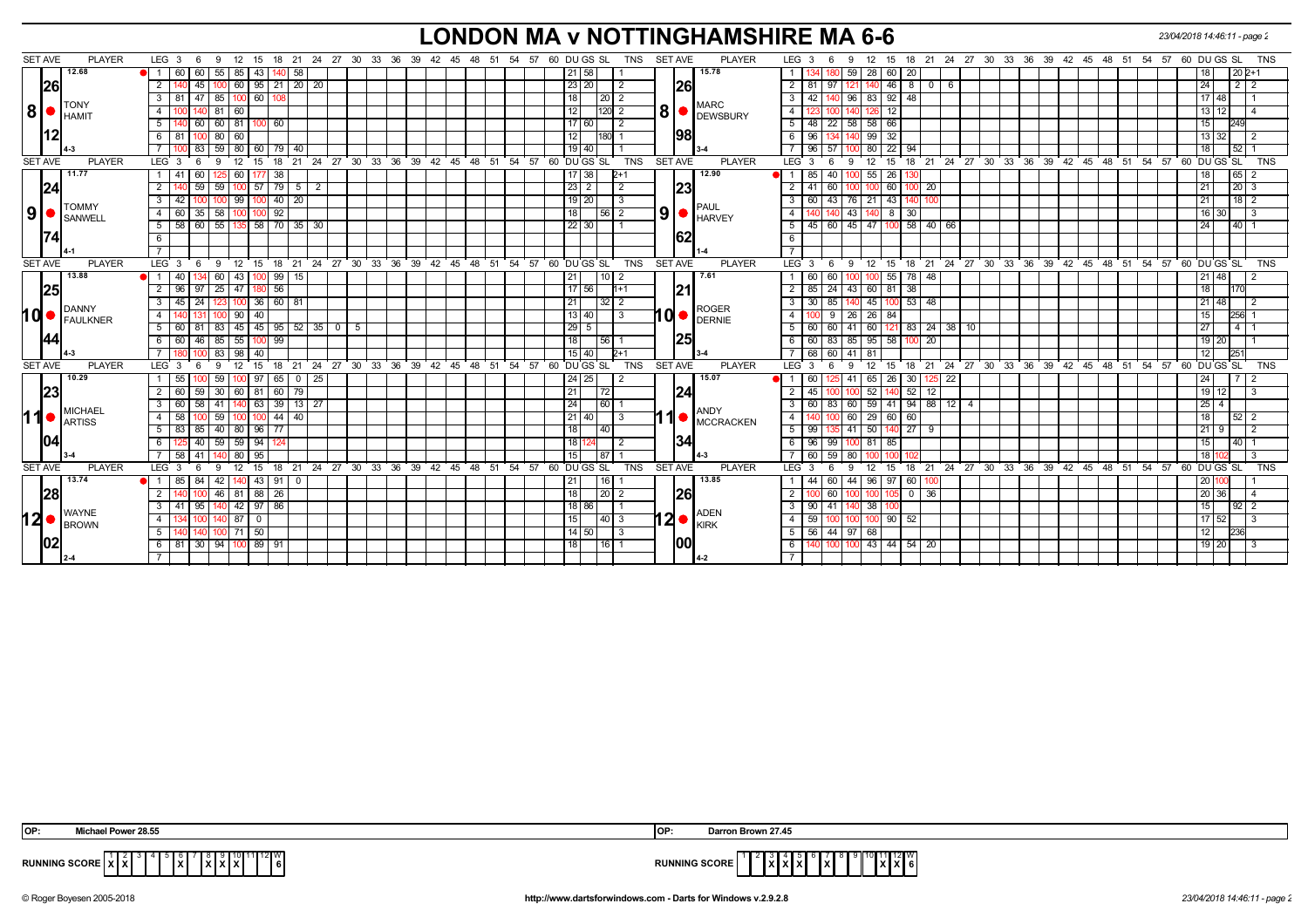# **LONDON MA v NOTTINGHAMSHIRE MA 6-6** *23/04/2018 14:46:11 - page 2*

| <b>SET AVE</b> | <b>PLAYER</b>                 | LEG 3<br>9<br>- 6                                       |                                     |                         | 12 15 18 21 24 27 30 33 36 39 42 45 48 51 54 57 60 DUGS SL<br>TNS<br>SET AVE<br><b>PLAYER</b>  | LEG 3<br>12 15 18 21 24 27 30 33 36 39 42 45 48 51<br>60 DU GS SL<br>TNS<br>54 57<br>6<br>-9                                                                |
|----------------|-------------------------------|---------------------------------------------------------|-------------------------------------|-------------------------|------------------------------------------------------------------------------------------------|-------------------------------------------------------------------------------------------------------------------------------------------------------------|
|                | 12.68                         | $55 \mid 85 \mid 43 \mid$<br>11<br>60 60                | $140$ 58                            |                         | 15.78<br>21 58                                                                                 | 59 28 60 20<br>$202+1$                                                                                                                                      |
|                | 26                            | 100 60 95 21 20 20<br><sup>2</sup><br>45                |                                     |                         | <b>26</b><br>23 20 <br>2                                                                       | 2 I<br>$46 \mid 8 \mid$<br>$2 \mid 2$<br>81<br>l 97<br> 24 <br>121<br>$0$   6                                                                               |
|                |                               | 85 100 60<br>3<br>47<br>-81                             |                                     |                         | 18<br>20   2                                                                                   | $\mathbf{3}$<br>42<br>96 83 92 48<br>l 17   48                                                                                                              |
| 8              | <b>TONY</b><br><b>I</b> HAMIT | 81   60<br>4 <sup>1</sup>                               |                                     |                         | <b>MARC</b><br>8 <sup>1</sup><br>12<br>120 2<br><b>DEWSBURY</b>                                | $\overline{4}$<br>12 <sup>2</sup><br>13 <sup>1</sup>                                                                                                        |
|                |                               | 140 60 60 81 100<br>5  <br>60                           |                                     |                         | 17 60 <br>$\overline{2}$                                                                       | 48 22 58 58 66<br>5<br>249                                                                                                                                  |
|                |                               | $100$ 80 60<br>6 81                                     |                                     |                         | 98 <br>12<br>180                                                                               | $99$ 32<br>6<br>96<br>13 32 <br>140                                                                                                                         |
|                |                               | 83<br>59 80 60                                          | 79 I 40                             |                         | 19 40                                                                                          | $96 \mid 57$<br>80 22 94<br>$52$ 1<br>$\overline{7}$<br>18                                                                                                  |
| <b>SET AVE</b> | <b>PLAYER</b>                 | LEG <sub>3</sub><br>9<br>12<br>6<br>15                  |                                     |                         | <b>SET AVE</b><br>18 21 24 27 30 33 36 39 42 45 48 51 54 57 60 DUGS SL<br>TNS<br><b>PLAYER</b> | $LEG^3$ 3<br>60 DU GS SL<br>12 15 18 21 24 27 30 33 36 39 42 45 48 51 54 57<br>6<br><b>TNS</b><br>9                                                         |
|                | 11.77                         | 60<br>38<br>1 <sup>1</sup><br>41<br>60                  |                                     |                         | 12.90<br> 38                                                                                   | 85<br>$55 \overline{\smash{)}\ 26}$<br>$65$ 2<br>40<br>100                                                                                                  |
| 24             |                               | $\overline{2}$<br>59<br>57<br>79<br>59                  | 2<br>- 5                            |                         | 23 <br>$23 \mid 2$                                                                             | 20 <sup>1</sup> 3<br>2<br>41<br>60<br>20                                                                                                                    |
|                | <b>TOMMY</b>                  | 99<br>$3^{\circ}$<br>42<br>100                          | $40 \mid 20$                        |                         | $19$   20<br>3<br><b>PAUL</b>                                                                  | 76 21<br>43<br>$18$ 2<br>$\mathbf{3}$<br>60<br>43<br>l 21                                                                                                   |
| 9              | SANWELL                       | 35<br>58<br>92<br>60<br>4 I<br>100<br>100 I             |                                     |                         | 9 <sup>1</sup><br>18<br>56 <br>$\overline{2}$<br><b>E</b> HARVEY                               | 43<br>$8 \mid 30$<br>$\overline{4}$                                                                                                                         |
|                |                               | 55<br>58<br>5 <sup>5</sup><br>58<br>60                  | $70$ 35<br>30                       |                         | 22 30                                                                                          | $45 \mid 47$<br>$ 00 $ 58<br>5 <sup>5</sup><br>40 <sub>1</sub><br>45<br>40   66<br>  24<br>60                                                               |
|                |                               | 6                                                       |                                     |                         | 62                                                                                             | 6                                                                                                                                                           |
|                |                               |                                                         |                                     |                         |                                                                                                |                                                                                                                                                             |
| <b>SET AVE</b> | <b>PLAYER</b>                 | LEG 3<br>9<br>12<br>15<br>- 6                           | 24 27 30 33<br>18 21                | 36 39<br>42 45 48       | SET AVE<br>TNS<br><b>PLAYER</b><br>54<br>57 60 DU GS SL<br>51                                  | LEG 3<br>24 27 30 33 36<br>39 42 45 48 51<br>54 57<br>60 DU GS SL<br>TNS<br>- 9<br>12 15<br>18 21<br>- 6                                                    |
|                | 13.88                         | 40<br>43<br>99<br>60                                    | 15                                  |                         | 7.61<br>10 <sub>l</sub><br>21                                                                  | 60<br>60<br>78<br>48<br>55                                                                                                                                  |
|                | 25                            | 25 47 180 56<br>$\overline{2}$<br>96<br>97              |                                     |                         | 7756<br> 21<br>$11+1$                                                                          | $\overline{2}$<br>85   24   43   60   81   38<br>18                                                                                                         |
|                | DANNY                         | 24<br>123 100 36 60 81<br>3 I<br>45                     |                                     |                         | 21<br>32 <br>$\overline{2}$<br><b>ROGER</b>                                                    | 45 100 53<br>$\mathbf{3}$<br>30 l<br>85<br>48<br>  21   48                                                                                                  |
| hd∙            | FAULKNER                      | 40<br>90<br>$\overline{4}$                              |                                     |                         | I di ●<br>13   40<br>$\overline{\mathbf{3}}$<br>DERNIE                                         | $\overline{4}$<br>26 26 84<br>256<br>-9<br>15                                                                                                               |
|                |                               | 5 60 81                                                 | 83   45   45   95   52   35   0   5 |                         | $\vert 29 \vert 5 \vert$                                                                       | 5<br>60 60 41 60 121 83 24 38 10<br>27<br>$4 \mid 1$                                                                                                        |
|                |                               | 60 46 85 55<br>6 I<br>99<br>1001                        |                                     |                         | 25<br>18<br>56                                                                                 | 60 83 85 95 58<br>6<br><b>20</b><br>  19   20  <br>100 I                                                                                                    |
|                |                               | 83<br>98<br>40                                          |                                     |                         | 15 40<br>$D+1$                                                                                 | $\overline{7}$<br>68<br>41<br>251<br>60<br>-81<br>12                                                                                                        |
| <b>SET AVE</b> | <b>PLAYER</b>                 | LEG <sub>3</sub><br>15<br>18<br>-9<br>12<br>6           | $^{\circ}$ 24<br>21                 | 27 30 33 36 39 42 45 48 | TNS<br><b>SET AVE</b><br>54 57<br>60 DU GS SL<br><b>PLAYER</b><br>51                           | 24 27 30 33 36 39 42 45 48 51<br>60 DU GS SL<br>LEG <sup>'</sup><br>$18 \quad 21$<br>54.57<br><b>TNS</b><br>$12 \overline{ }$<br>15<br>-3<br>-6<br><b>g</b> |
|                | 10.29                         | 59<br>100 97<br>55                                      | $65$ $0$<br>25                      |                         | 24 25 <br>15.07                                                                                | 41 65 26 30<br>$125$ 22<br>60 I<br>l 24 l                                                                                                                   |
| 23             |                               | 2 60<br>81<br>59<br>30 <sup>2</sup><br>  60  <br>60 l   | 79                                  |                         | 24 <br>21<br>72                                                                                | 40 52<br>2<br>52<br>191<br>45<br>12<br>l 3                                                                                                                  |
|                | <b>MICHAEL</b>                | 58 41 40 63 39 13 27<br>3 60                            |                                     |                         | 24<br> 60 <br><b>ANDY</b>                                                                      | 60   83   60   59   41   94   88   12   4<br>3 <sup>1</sup><br>l 25 l                                                                                       |
| 11             | <b>ARTISS</b>                 | 59<br>58<br>4<br>100                                    | 44   40                             |                         | 1<br>21   40  <br>3<br>MCCRACKEN                                                               | 60 29 60 60<br>$\overline{4}$<br>$\overline{18}$<br>$52$ 2                                                                                                  |
|                |                               | 85<br>$40 \mid 80$<br>96<br>5 <sub>1</sub><br>83<br>-77 |                                     |                         | 18<br>40                                                                                       | $10^{27}$<br>5 <sup>1</sup><br>41<br>50<br>99<br>- 9                                                                                                        |
| 104            |                               | 40<br>$59$ 59   94<br>6                                 |                                     |                         | 1341<br>18<br>-2                                                                               | $96$ 99<br>100 81 85<br>$40$ 1<br>6<br>15 <sup>1</sup>                                                                                                      |
|                |                               | 95<br>58<br>80<br>41                                    |                                     |                         | 15<br>87                                                                                       | 60<br>59<br>80<br>l 18 l<br>- 3                                                                                                                             |
| <b>SET AVE</b> | <b>PLAYER</b>                 | LEG 3<br>9<br>12<br>15<br>6                             |                                     |                         | 18 21 24 27 30 33 36 39 42 45 48 51 54 57 60 DUGS SL<br>TNS<br><b>SET AVE</b><br><b>PLAYER</b> | 18 21 24 27 30 33 36 39 42 45 48 51 54 57 60 DUGS SL<br><b>LEG</b><br>-3<br>9<br>12<br>15<br><b>TNS</b><br>6                                                |
|                | 13.74                         | 1 85<br>84<br>42 <sub>1</sub><br>$140$ 43 91 0          |                                     |                         | 13.85<br>21<br>  16                                                                            | 44 96 97 60<br>44<br>60<br>l 20 l                                                                                                                           |
|                | 28                            | 46 81 88 26<br><sup>2</sup><br>100                      |                                     |                         | 18<br><b>26</b><br>$\vert 20 \vert 2$                                                          | $\overline{2}$<br>100 60<br>$0 \mid 36$<br>20 36<br>$\overline{4}$<br>100                                                                                   |
|                | <b>WAYNE</b>                  | 42 97<br>86<br>3 I<br>95<br>41                          |                                     |                         | 18 86<br><b>ADEN</b>                                                                           | 3 I<br>38<br>90   41<br>15<br>$92$   2                                                                                                                      |
| 12             | BROWN                         | -87 I<br>$\mathbf{0}$<br>4                              |                                     |                         | $12 \bullet \vert_{\text{KIRK}}^{\text{AUEN}}$<br>15 <sup>15</sup><br>40 3                     | 59<br>$90$ 52<br>$\overline{4}$<br>  17   52                                                                                                                |
|                |                               | $100$ 71 50<br>5  <br>140                               |                                     |                         | $14$ 50<br>3                                                                                   | 56 44 97 68<br>$5 \vert$<br>236<br>12                                                                                                                       |
|                | 1021                          | 6 81 30 94 100 89 91                                    |                                     |                         | IOOI<br>18 <sup>1</sup><br> 16 1                                                               | 100 43 44 54 20<br>6<br>19 20<br>- 3<br>100 I                                                                                                               |
|                |                               |                                                         |                                     |                         |                                                                                                | $\overline{7}$                                                                                                                                              |

| OP:<br>Michael Dower 28 EE<br>- - د - د - د                                       | Darron Brown 27.45<br>IOP:                                 |
|-----------------------------------------------------------------------------------|------------------------------------------------------------|
| 1   12   W<br><b>RUNNING SCORE  </b><br>.<br>$\mathbf{v}$<br>'XIX.<br>.<br>.<br>. | 10 11 12 W<br><b>RUNNING SCORE</b><br>IXIXI<br>.<br>.<br>. |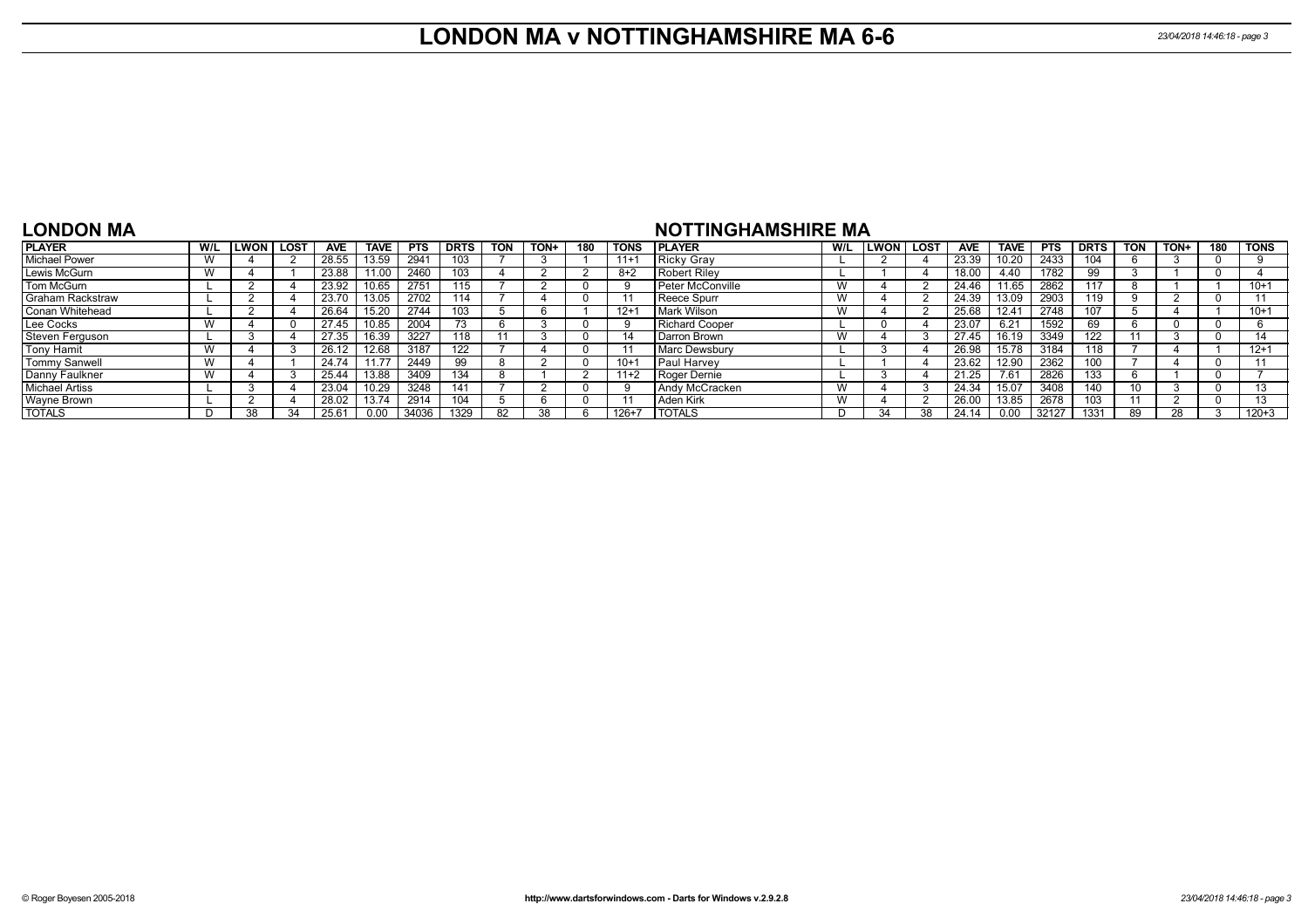### **LONDON MA v NOTTINGHAMSHIRE MA 6-6** *23/04/2018 14:46:18 - page 3*

### **LONDON MA**

### **NOTTINGHAMSHIRE MA**

| <b>PLAYER</b>           | _WON | <b>LOST</b> | <b>AVE</b>     | <b>TAVE</b> | <b>PTS</b> | <b>DRTS</b> | <b>TON</b> | TON+ | 180 | <b>TONS</b> | <b>IPLAYER</b>        | W/L | <b>ILWON</b> | <b>LOST</b> | <b>AVE</b> | <b>TAVE</b> | <b>PTS</b> | <b>DRTS</b> | <b>TON</b> | <b>TON+</b> | 180 | <b>TONS</b> |
|-------------------------|------|-------------|----------------|-------------|------------|-------------|------------|------|-----|-------------|-----------------------|-----|--------------|-------------|------------|-------------|------------|-------------|------------|-------------|-----|-------------|
| Michael Power           |      |             | 28.55          | 13.59       | 2941       | 103         |            |      |     | $11+$       | Ricky Gray            |     |              |             | 23.39      | 10.20       | 2433       | 104         |            |             |     |             |
| Lewis McGurn            |      |             | 23.88          | 11.00       | 2460       | 103         |            |      |     | 8+2         | Robert Rilev          |     |              |             | 18.00      | 4.40        | 1782       | 99          |            |             |     |             |
| Tom McGurn              |      |             | 23.92          | 10.65       | 2751       | 115         |            |      |     |             | Peter McConville      |     |              |             | 24.46      | 11.65       | 2862       | 117         |            |             |     | $10+1$      |
| <b>Graham Rackstraw</b> |      |             | 23.70          | 13.05       | 2702       | 114         |            |      |     |             | <b>Reece Spurr</b>    |     |              |             | 24.39      | 13.09       | 2903       | 119         |            |             |     |             |
| Conan Whitehead         |      |             | 26.64          | 15.20       | 2744       | 103         |            |      |     | $12 +$      | Mark Wilson           |     |              |             | 25.68      | 12.41       | 2748       | 107         |            |             |     | $10+1$      |
| Lee Cocks               |      |             | 27.45          | 10.85       | 2004       | 75.         |            |      |     |             | <b>Richard Cooper</b> |     |              |             | 23.07      | 6.21        | 1592       | 69          |            |             |     |             |
| Steven Ferguson         |      |             | 27.35          | 16.39       | 3227       |             |            |      |     |             | Darron Brown          |     |              |             | 27.45      | 16.19       | 3349       | 122         |            |             |     |             |
| Tony Hamit              |      |             | 26.12          | 12.68       | 3187       | 122         |            |      |     |             | Marc Dewsbury         |     |              |             | 26.98      | 15.78       | 3184       | 118         |            |             |     | $12+1$      |
| <b>Tommy Sanwell</b>    |      |             | 24.74          | 11.77       | 2449       | 99          |            |      |     | $10+$       | <b>Paul Harvey</b>    |     |              |             | 23.62      | 12.90       | 2362       | 100         |            |             |     |             |
| Danny Faulkner          |      |             | 25.44          | 13.88       | 3409       | 134         |            |      |     | $11 + 2$    | Roger Dernie          |     |              |             | 21.25      | 7.61        | 2826       | 133         |            |             |     |             |
| <b>Michael Artiss</b>   |      |             | 23.04          | 10.29       | 3248       | 141         |            |      |     |             | Andy McCracken        |     |              |             | 24.34      | 15.07       | 3408       | 140         |            |             |     |             |
| <b>Wayne Brown</b>      |      |             | 28.02          | 13.74       | 2914       | 104         |            |      |     |             | Aden Kirk             |     |              |             | 26.00      | 13.85       | 2678       | 103         |            |             |     |             |
| <b>TOTALS</b>           |      |             | $25.6^{\circ}$ |             | 34036      | 1329        | 82         | 38   |     | 126+7       | <b>TOTALS</b>         | Ð   |              | 38          | 24.14      | 0.00        | 32127      | 1331        | 89         |             |     | $120 + 3$   |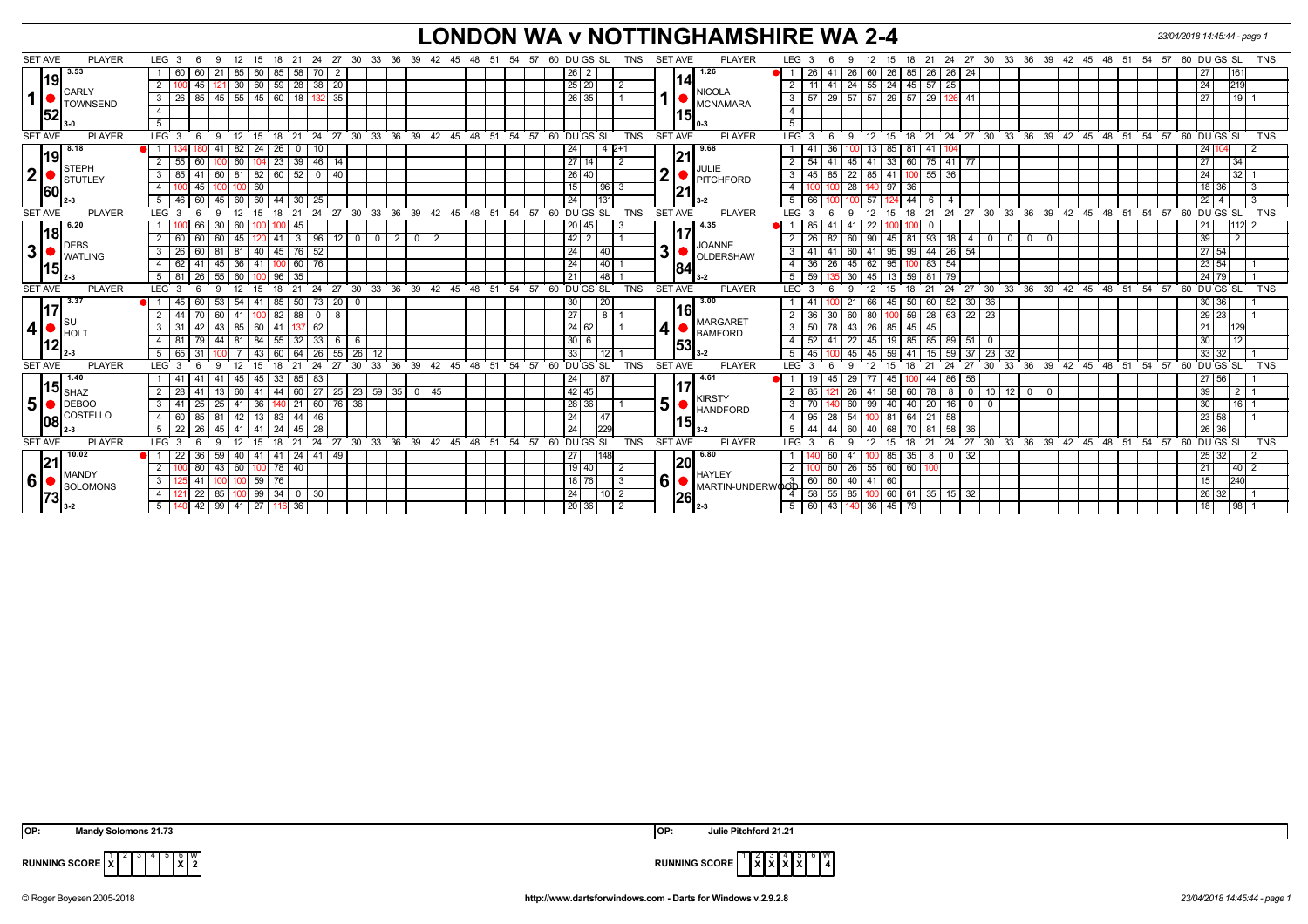## **LONDON WA v NOTTINGHAMSHIRE WA 2-4** *23/04/2018 14:45:44 - page 1*

| <b>SET AVE</b><br><b>PLAYER</b>          | LEG <sub>3</sub><br>-9<br>15                              | 27<br>18<br>-21<br>24           | 30 33 36 39 42 45 48 51 54 57 60 DU GS SL |                                  |            |                | <b>TNS</b>                                 | <b>SET AVE</b><br><b>PLAYER</b>                  | LEG <sub>3</sub>           | -9                 | 21<br>15<br>18          |                           |                               |                                                                       |       |          |                    | 24  27  30  33  36  39  42  45  48  51  54  57  60  DU GS  SL | <b>TNS</b>     |
|------------------------------------------|-----------------------------------------------------------|---------------------------------|-------------------------------------------|----------------------------------|------------|----------------|--------------------------------------------|--------------------------------------------------|----------------------------|--------------------|-------------------------|---------------------------|-------------------------------|-----------------------------------------------------------------------|-------|----------|--------------------|---------------------------------------------------------------|----------------|
| 3.53                                     | 60<br>-21<br>60                                           | 85<br>58<br>70                  | $\overline{2}$                            |                                  |            |                | $26 \mid 2$                                | 1.26                                             | 26                         | 60<br>26           | 26<br>85 I<br>26        | $\vert$ 26<br>$\sqrt{24}$ |                               |                                                                       |       |          |                    | 27                                                            | 161            |
| 119                                      | 45<br>60<br>$\overline{2}$<br>30 <sup>1</sup>             | $59 \mid 28 \mid$<br>38<br>- 20 |                                           |                                  |            |                | 25 20                                      | 114                                              | -41                        | 55<br>24           | $^{24}$<br>$45 \mid 57$ | 25                        |                               |                                                                       |       |          |                    | 24                                                            | 219            |
| CARLY<br>$\mathbf{1}$<br><b>TOWNSEND</b> | 85<br>$45$ 55 $45$<br>$3 \mid 26$                         | $60$   18<br>1321               | 35                                        |                                  |            |                | 26 35                                      | <b>NICOLA</b><br><b>MCNAMARA</b>                 | $3 \mid 57$                | $29 \mid 57$<br>57 | 29<br>$57 \mid 29$      | -41<br>126                |                               |                                                                       |       |          |                    | 27                                                            | 19             |
| 52                                       | $\overline{4}$                                            |                                 |                                           |                                  |            |                |                                            | 15                                               | $\overline{4}$             |                    |                         |                           |                               |                                                                       |       |          |                    |                                                               |                |
|                                          | 5                                                         |                                 |                                           |                                  |            |                |                                            |                                                  | 5                          |                    |                         |                           |                               |                                                                       |       |          |                    |                                                               |                |
| <b>SET AVE</b><br><b>PLAYER</b>          | LEG <sub>3</sub><br>15<br>9<br>$^{\circ}$ 12<br>-6        | $24$ 27<br>18<br>$^{\circ}$ 21  | 30 33 36 39 42 45 48 51 54 57             |                                  |            |                | 60 DUGS SL<br><b>TNS</b>                   | <b>SET AVE</b><br><b>PLAYER</b>                  | LEG 3                      | 12<br>9            | $\overline{15}$         | $18$ 21 24 27 30          |                               |                                                                       |       |          |                    | 33 36 39 42 45 48 51 54 57 60 DUGS SL                         | <b>TNS</b>     |
| 8.18                                     | 82   24                                                   | 26 I<br>10<br>$\overline{0}$    |                                           |                                  |            |                | 24<br>4 2+1                                | 9.68                                             | 36<br>-41                  | 13                 | 85<br>  81  <br>41      |                           |                               |                                                                       |       |          |                    | 241                                                           |                |
| 19                                       | $\overline{2}$<br>55<br>60<br>60 l<br>104                 | 23 39 46 14                     |                                           |                                  |            |                | 27 14 <br>$\overline{2}$                   | 21                                               | $2 \mid 54$<br>41          | 41<br>45 I         | 33<br>60 75 41          | l 77                      |                               |                                                                       |       |          |                    | 27                                                            | 34             |
| STEPH<br>$\mathbf{2}$<br>Istutley        | $3 \mid 85$<br>41                                         | 60   81   82   60   52   0   40 |                                           |                                  |            |                | 26 40                                      | JULIE<br>2 <sup>1</sup><br><b>PITCHFORD</b>      | $3 \mid 45$                | 85 22 85 41        | $100$ 55 36             |                           |                               |                                                                       |       |          |                    | 24                                                            | 32             |
| 160                                      | 45<br>$100$ 60<br>$\overline{4}$                          |                                 |                                           |                                  |            |                | 15<br> 96 3                                | 121                                              |                            | 28<br>140          | 97<br>36                |                           |                               |                                                                       |       |          |                    | 18<br>36                                                      | -3             |
|                                          | 60<br>45 60 60 44 30 25<br>5 46                           |                                 |                                           |                                  |            |                | 24<br>1131                                 | $3-2$                                            | $5 \mid 66$                | 100 57             | 44<br>- 6               |                           |                               |                                                                       |       |          |                    | $22 \mid 4$                                                   | 3              |
| <b>SET AVE</b><br><b>PLAYER</b>          | LEG <sub>3</sub><br>15<br>12<br>$\mathbf{q}$              | 21<br>24<br>27                  | 30<br>36<br>33                            | 39<br>42<br>45                   | 48<br>- 51 | 54<br>57<br>60 | DU GS SL<br><b>TNS</b>                     | <b>SET AVE</b><br><b>PLAYER</b>                  | LEG 3                      | 12<br>$\mathbf{Q}$ | 15<br>21<br>18          | 24<br>27                  | 30                            | 33 36 39 42 45 48 51                                                  |       |          | $54 \overline{57}$ | DU GS SL<br>60                                                | <b>TNS</b>     |
| 6.20                                     | 66<br>30<br>601'<br>100                                   | 45                              |                                           |                                  |            |                | 20 45 <br>-3                               | 4.35                                             | 85<br>-41                  | 22                 |                         |                           |                               |                                                                       |       |          |                    | 21                                                            | 112            |
| 18 <br><b>DEBS</b>                       | 60<br>2 60<br>60<br>45   120                              | $41$ 3<br>96                    | $0$ 0<br>$\overline{2}$<br>  12           | $\overline{2}$<br>$\overline{0}$ |            |                |                                            |                                                  | $2 \mid 26$<br>82          | 90<br>60           | 81 93 18<br>45          | 4 I                       | $\mathbf 0$<br>$\overline{0}$ | $\overline{\phantom{0}}$ 0 $\overline{\phantom{0}}$<br>$\overline{0}$ |       |          |                    | 39                                                            | $\overline{2}$ |
| 3<br><b>WATLING</b>                      | $3 \mid 26$<br>81 40<br>60<br>-81                         | 52<br>$45 \mid 76 \mid$         |                                           |                                  |            |                | 24<br> 40                                  | <b>JOANNE</b><br>31<br><b>OLDERSHAW</b>          | $3 \mid 41$<br>41          | 41<br>60 I         | $-44$<br>95<br>99       | $\boxed{26}$<br>54        |                               |                                                                       |       |          |                    | 27 54                                                         |                |
| 15                                       | 41<br>45 36 41<br>4 62                                    | 76<br>$100$ 60                  |                                           |                                  |            |                | 24<br> 40                                  | 84                                               | $4 \mid 36$<br>26          | 62<br>  45         | 95<br>83                | 54                        |                               |                                                                       |       |          |                    | $23 \overline{)54}$                                           |                |
|                                          | 26<br>55<br>-60 I<br>5   81<br>100                        | $\overline{35}$<br>96 I         |                                           |                                  |            |                | $\overline{148}$<br>21                     | $3-2$                                            | $5 \mid 59$                | 45<br>30           | 13<br>$-59$<br>81       | 79                        |                               |                                                                       |       |          |                    | 24 79                                                         |                |
| <b>SET AVE</b><br><b>PLAYER</b>          | LEG <sup>3</sup><br>12<br><b>q</b><br>15                  | 27<br>21<br>24<br>18            | 30 33 36 39 42 45 48 51 54 57             |                                  |            |                | 60 DU GS SL<br><b>TNS</b>                  | <b>SET AVE</b><br><b>PLAYER</b>                  | LEG 3                      | 12<br>9            | 15<br>21                | 24<br>27                  | $30^{\circ}$                  | 33 36 39 42 45 48 51                                                  |       |          |                    | 54 57 60 DU GS SL                                             | <b>TNS</b>     |
| 3.37                                     | 60<br>53<br>$54 \mid 41$                                  | 85 I<br>73<br> 50               | 20<br>$\mathbf{0}$                        |                                  |            |                | 30 <br>120                                 | 3.00                                             |                            | 66<br>$2^{\circ}$  | 45<br>50<br>60          | 52                        | $30 \mid 36$                  |                                                                       |       |          |                    | 30 36                                                         |                |
|                                          | 70<br>$\overline{2}$<br>l 44<br>$\sqrt{41}$   100<br>60 I | 82<br>88<br>$\mathbf 0$         | 8                                         |                                  |            |                | 27<br>$\overline{8}$                       | 16                                               | $2 \mid 36$<br>30          | 80<br>60           | $59$   28               | 63                        | $22 \mid 23$                  |                                                                       |       |          |                    | 29 23                                                         |                |
| , Isu<br>4 <br>' I hol                   | 42<br>85 60<br>3<br>43                                    | 41<br>62                        |                                           |                                  |            |                | 24 62                                      | <b>MARGARET</b><br>4<br><b>BAMFORD</b>           | $3 \mid 50$                | 26<br>78 43        | 85<br>45 I<br>45        |                           |                               |                                                                       |       |          |                    | 21                                                            | 129            |
| 12                                       | $81$   84<br>79<br>$\overline{4}$<br>44                   | 33<br>55<br>32                  | - 6<br>6                                  |                                  |            |                | 30 6                                       | 53                                               | $4 \mid 52$<br>41          | 22<br>45           | 19<br>85 85             | 89                        | $51$ 0                        |                                                                       |       |          |                    | 30                                                            | 12             |
|                                          | 31<br>5<br>43                                             | 26<br>60<br>64                  | 55<br>26<br>12                            |                                  |            |                | 33<br>112                                  | $3-2$                                            | -45<br>5                   | 45<br>45           | 59                      | 59<br>37                  | 23<br>32                      |                                                                       |       |          |                    | 33 32                                                         |                |
| <b>SET AVE</b><br><b>PLAYER</b>          | LEG <sub>3</sub><br>$\mathbf{q}$<br>12<br>15<br>6         | 27<br>24<br>18<br>21            | 36<br>30<br>$33^\circ$                    | 39                               |            |                | 42 45 48 51 54 57 60 DUGS SL<br><b>TNS</b> | <b>SET AVE</b><br><b>PLAYER</b>                  | LEG 3                      | 12<br>$\mathbf{Q}$ | 15<br>18                | 24<br>27                  | 33<br>30                      | 36                                                                    |       |          |                    | 39 42 45 48 51 54 57 60 DUGS SL                               | <b>TNS</b>     |
| 1.40                                     | 45<br>41<br>45                                            | 33<br>83<br>85                  |                                           |                                  |            |                | 24<br>187                                  | 4.61<br>117                                      | 45                         | 29                 | 45<br>44                | 86<br>-56                 |                               |                                                                       |       |          |                    | 27<br>56                                                      |                |
| 15 $_{\sf SHAZ}$                         | $\overline{2}$<br>41<br>-41                               | 27<br>44<br>60 I                | 25<br>23 59<br>35                         | 0  <br>45                        |            |                | $42$   45                                  | <b>KIRSTY</b>                                    | 85                         | 41                 | 58<br>60                | 8<br>$\mathbf{0}$         | $10$ 12 0                     | $\mathbf{0}$                                                          |       |          |                    | 39                                                            | $\overline{2}$ |
| 5 <sub>5</sub><br>$\bigcup$ DEBOO        | 25<br>36<br>3<br>25                                       | 60<br>21                        | 36<br>76                                  |                                  |            |                | 28 36                                      | 5 <sup>1</sup><br><b>HANDFORD</b>                | 3 I<br>70                  | 99                 | 20<br>40<br>40 l        | 16<br>$^{\circ}$          |                               |                                                                       |       |          |                    | 30                                                            | 16             |
| COSTELLO<br>108                          | 85<br>13<br>4                                             | 46<br>83<br>44                  |                                           |                                  |            |                | 24<br>147                                  | 15                                               | $4 \mid 95$<br>28          | 54<br>100          | 21<br>81<br>64 I        | 58                        |                               |                                                                       |       |          |                    | 23<br>58                                                      |                |
|                                          | 26<br>5<br>22<br>41<br>45                                 | $\overline{28}$<br>24<br>45     |                                           |                                  |            |                | 229<br>24                                  | $3-2$                                            | 44<br>5 <sup>1</sup><br>44 | 40                 | 68                      | 58<br>36                  |                               |                                                                       |       |          |                    | 26 36                                                         |                |
| <b>SET AVE</b><br><b>PLAYER</b>          | LEG <sup>3</sup>                                          | 27                              | 30<br>33<br>36                            | 39<br>42<br>45                   | 48<br>-51  | 54<br>57       | 60 DU GS SL<br><b>TNS</b>                  | <b>SET AVE</b><br><b>PLAYER</b>                  | <b>LEG</b>                 |                    |                         | 24<br>27                  | 33<br>30                      | 36<br>39                                                              | 42 45 | 48<br>51 | ີ 54               | 60 DU GS SL<br>57                                             | <b>TNS</b>     |
| 10.02                                    | 36<br>41                                                  | 41<br>-41<br>24                 | -49                                       |                                  |            |                | 27                                         | 6.80<br> 20                                      |                            |                    | 85<br>35                | -32<br>$\Omega$           |                               |                                                                       |       |          |                    | 32<br>25                                                      |                |
| 21<br><b>MANDY</b>                       | 80<br>2<br>43<br>100                                      | 78<br>40                        |                                           |                                  |            |                | 19   40                                    |                                                  | 2 <sup>1</sup><br>60       | 55<br>26           | 60<br>-60 I             |                           |                               |                                                                       |       |          |                    | 21                                                            | $40$ 2         |
| 6'<br>SOLOMONS                           | 41<br>59<br>3                                             | 76                              |                                           |                                  |            |                | $18$ 76<br>$\overline{3}$                  | <b>HAYLEY</b><br>$6 \mid$<br>MARTIN-UNDERWOOD 60 | 60                         | 41<br>40           | 60                      |                           |                               |                                                                       |       |          |                    | 15                                                            | 240            |
| 73                                       | 22<br>99<br>85<br>$\overline{4}$                          | $34$ 0<br>30                    |                                           |                                  |            |                | 24<br>$\sqrt{10}$   2                      | 26                                               | 4158                       | $55$ 85<br>100     | 60<br>35<br>61          | 15<br>32                  |                               |                                                                       |       |          |                    | 26                                                            | 32             |
|                                          | 42 99 41 27<br>5                                          | 36                              |                                           |                                  |            |                | 20 36<br>$\overline{2}$                    | $2 - 3$                                          | 5   60                     | 43 140 36          | 45<br>79                |                           |                               |                                                                       |       |          |                    | 18                                                            | 98 I           |

 **OP: Mandy Solomons 21.73 OP: Julie Pitchford 21.21**



**RUNNING SCORE**  $\mathbf{I}$ 3 **X** 4 **X** 5 **X** W **4**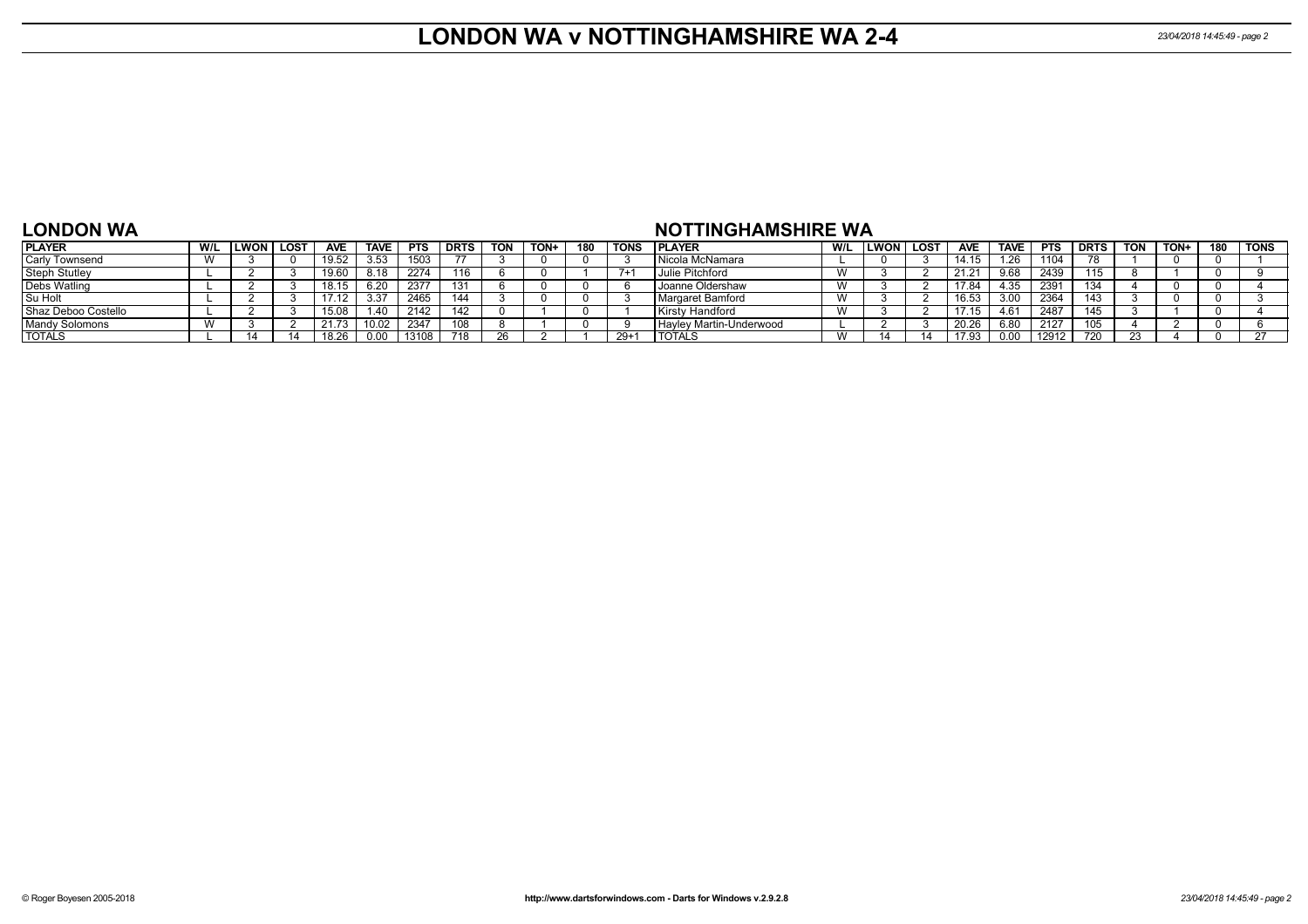### **LONDON WA v NOTTINGHAMSHIRE WA 2-4** *23/04/2018 14:45:49 - page 2*

### **LONDON WA**

### **NOTTINGHAMSHIRE WA**

| <b>PLAYER</b>         | W/L | LWON I | LOST | <b>AVE</b> | <b>TAVE</b> | <b>PTS</b> | <b>DRTS</b> | <b>TON</b> | TON+ | 180 | TONS  | <b>PLAYER</b>             | W/L                    | LWON | LOS'I | <b>AVE</b> | <b>TAVE</b> | <b>PTS</b> | <b>DRTS</b> | <b>TON</b> | <b>TON+</b> | 180 | TONS |
|-----------------------|-----|--------|------|------------|-------------|------------|-------------|------------|------|-----|-------|---------------------------|------------------------|------|-------|------------|-------------|------------|-------------|------------|-------------|-----|------|
| Carly Townsend        |     |        |      |            | 3.53        | 1503       |             |            |      |     |       | l Nicola McNamara         |                        |      |       |            | 1.26        | 104        |             |            |             |     |      |
| <b>Steph Stutley</b>  |     |        |      |            | 8.18        | 2274       | 16          |            |      |     |       | Julie Pitchford           | $\lambda$<br><b>VV</b> |      |       | 21.21      | 9.68        | 2439       | 115         |            |             |     |      |
| <b>Debs Watling</b>   |     |        |      |            | 6.20        | 2377       | 131         |            |      |     |       | Joanne Oldershaw          | $\lambda$              |      |       | 17.84      | 4.35        | 2391       | 134         |            |             |     |      |
| Su Holt               |     |        |      |            | 3.37        | 2465       |             |            |      |     |       | Margaret Bamford          |                        |      |       | 16.53      | 3.00        | 2364       | 143         |            |             |     |      |
| Shaz Deboo Costello   |     |        |      |            | 1.40        | 2142       |             |            |      |     |       | Kirsty Handford           | w                      |      |       |            | 4.61        | 2487       | 145         |            |             |     |      |
| <b>Mandy Solomons</b> |     |        |      | 21.73      | 10.02       | 2347       | 108         |            |      |     |       | I Hayley Martin-Underwood |                        |      |       | 20.26      | 6.80        | 2127       | 105         |            |             |     |      |
| <b>TOTALS</b>         |     |        |      |            | 0.00        | 13108      | 718         | 26         |      |     | $29+$ | <b>TOTALS</b>             | W                      |      |       | 17.93      | 0.00        | 12912      | 720         |            |             |     |      |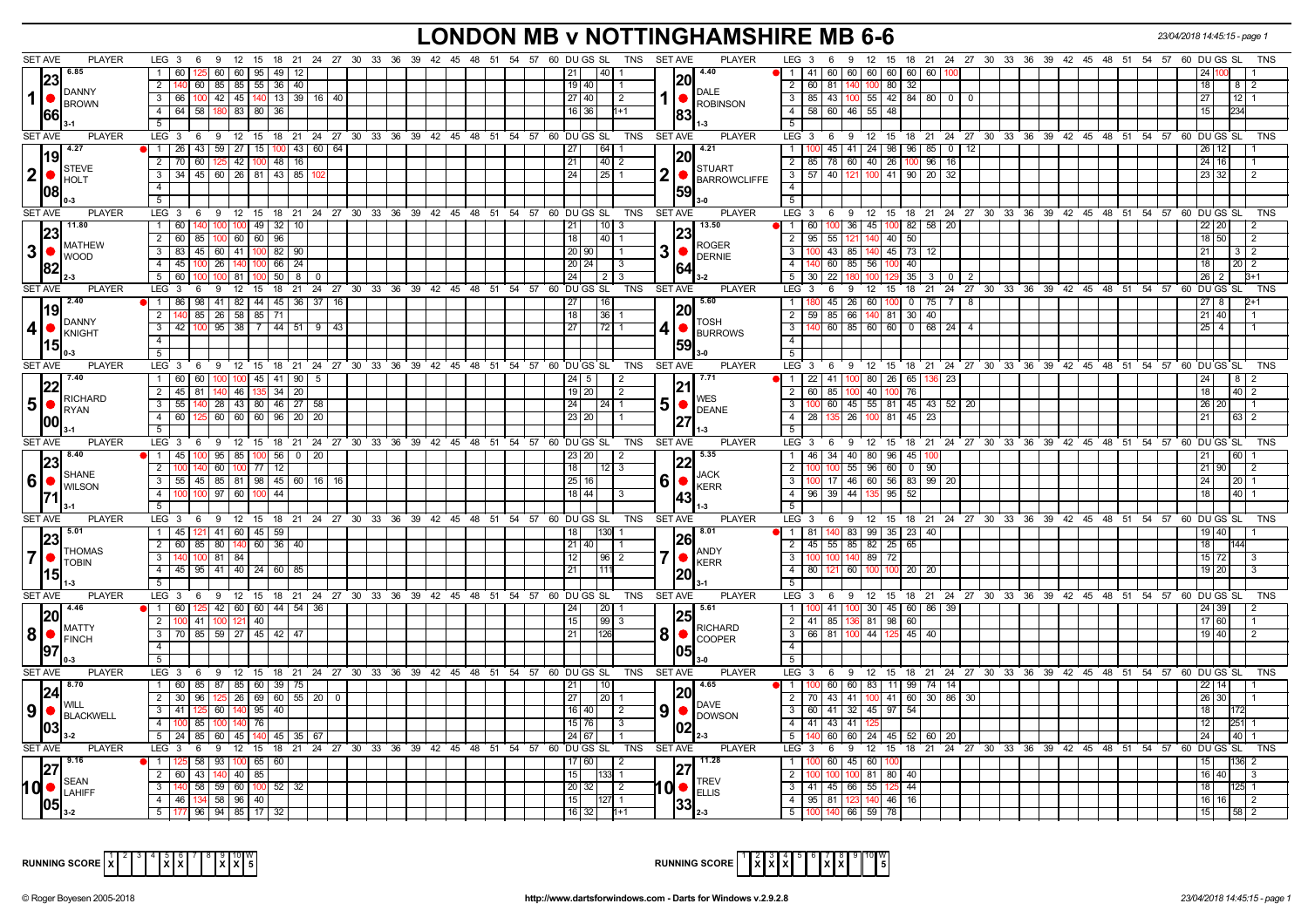# **LONDON MB v NOTTINGHAMSHIRE MB 6-6** *23/04/2018 14:45:15 - page 1*

| <b>SET AVE</b><br><b>PLAYER</b>                        | LEG 3                                                          |                                              | 6 9 12 15 18 21 24 27 30 33 36 39 42 45 48 51 54 57 60 DU GS SL TNS SETAVE |                           | <b>PLAYER</b>                   | $LEG_36$<br>9 12 15 18 21 24 27 30 33 36 39 42 45 48 51 54 57 60 DUGS SL                      |  | TNS                   |
|--------------------------------------------------------|----------------------------------------------------------------|----------------------------------------------|----------------------------------------------------------------------------|---------------------------|---------------------------------|-----------------------------------------------------------------------------------------------|--|-----------------------|
| 6.85                                                   | 1 60<br>60 60 95 49 12                                         |                                              |                                                                            | l 40 l<br>21              | 4.40                            | 60 60 60 60<br>60   60<br>41                                                                  |  |                       |
| 23                                                     | $\overline{2}$<br>60   85   85   55   36   40                  |                                              |                                                                            | 19 40                     | I20l                            | $2 \mid 60 \mid$<br>80<br>81<br>32                                                            |  | 18<br>8               |
| DANNY                                                  |                                                                |                                              |                                                                            |                           | <b>DALE</b>                     |                                                                                               |  |                       |
| $1$ $\bullet$ $\mathsf{BROWN}$                         | $3 \mid 66$                                                    | 100 42 45 140 13 39 16 40                    |                                                                            | 27140<br>l 2              | ROBINSON                        | 3<br>  85   43   100   55   42   84   80   0  <br>$\Omega$                                    |  | 27<br>12 <sub>1</sub> |
| 66                                                     | 4 64 58 180 83 80 36                                           |                                              |                                                                            | 16 36<br>1+1              |                                 | 58   60   46   55   48<br>4 <sup>1</sup>                                                      |  | 15                    |
|                                                        | 5                                                              |                                              |                                                                            |                           |                                 |                                                                                               |  |                       |
| SET AVE<br><b>PLAYER</b>                               |                                                                |                                              | LEG 3 6 9 12 15 18 21 24 27 30 33 36 39 42 45 48 51 54 57 60 DUGS SL       |                           | TNS SET AVE<br><b>PLAYER</b>    | LEG 3 6 9 12 15 18 21 24 27 30 33 36 39 42 45 48 51 54 57 60 DUGS SL                          |  | <b>TNS</b>            |
| $119^{-4.27}$                                          | 1   26   43   59   27   15   100   43   60   64                |                                              |                                                                            | $\boxed{64}$ 1<br>27      | 14.21                           | $\overline{1}$<br>100 45 41 24 98 96 85 0 12                                                  |  |                       |
|                                                        | 2 70 60 125 42 100 48 16                                       |                                              |                                                                            | 21<br>$\vert 40 \vert 2$  | <b>STUART</b>                   | 85   78   60   40   26   100   96   16<br>$\overline{2}$                                      |  | 24 16                 |
| $2$ $\bullet$ STEVE                                    | 3 3 4 45 60 26 81 43 85                                        |                                              |                                                                            | 24<br>12511               | <b>BARROWCLIFFE</b>             | 3   57   40   121   100   41   90   20   32                                                   |  | 23 32                 |
| 1081                                                   | 4                                                              |                                              |                                                                            |                           | 59                              | $\overline{4}$                                                                                |  |                       |
|                                                        | 5 <sup>1</sup>                                                 |                                              |                                                                            |                           |                                 | 5 <sup>1</sup>                                                                                |  |                       |
| SET AVE<br><b>PLAYER</b>                               |                                                                |                                              | LEG 3 6 9 12 15 18 21 24 27 30 33 36 39 42 45 48 51 54 57 60 DUGS SL       | TNS                       | <b>SET AVE</b><br>PLAYER        | LEG 3 6 9 12 15 18 21 24 27 30 33 36 39 42 45 48 51 54 57 60 DUGS SL                          |  | <b>TNS</b>            |
| 11.80                                                  | 1 60 140 100 100 49 32 10                                      |                                              |                                                                            | $ 21 $   10   3           | 13.50                           | 1   60   100   36   45   100   82   58   20                                                   |  | 22 20                 |
| <b>IMATHEW</b>                                         | 2 60 85 100 60 60 96                                           |                                              |                                                                            | 14011<br>18               | <b>ROGER</b>                    | 2   95   55   121   140   40   50                                                             |  | 18 50<br>l 2          |
| $3$ $\bullet$ $\frac{\text{WATE}}{\text{WOOD}}$        | 3   83   45   60   41   100   82   90                          |                                              |                                                                            | 20   90                   | 3<br>$\bigcirc$ DERNIE          | 3   100   43   85   140   45   73   12                                                        |  | 21<br>3   2           |
|                                                        | 4 4 45 100 26 140 100 66 24                                    |                                              |                                                                            | 20 24<br>LЗ               |                                 | 140 60 85 56 100 40<br>$\overline{4}$                                                         |  | 18<br>20 <sub>1</sub> |
|                                                        | $5 \ 60 \ 100$                                                 | $100$ 81 100 50 8 0                          |                                                                            | 24<br>2   3               |                                 | 5<br>30 22 180 100 129<br>35 3 0 2                                                            |  | 26                    |
| SET AVE<br><b>PLAYER</b>                               | $LEG$ 3 6                                                      |                                              | 9 12 15 18 21 24 27 30 33 36 39 42 45 48 51 54 57 60 DUGS SL TNS           |                           | <b>SET AVE</b><br><b>PLAYER</b> | $LEG^{\cdot}$ 3<br>9 12 15 18 21 24 27 30 33 36 39 42 45 48 51 54 57 60 DUGSSL<br>$6^{\circ}$ |  | <b>TNS</b>            |
| 12.40                                                  | 98 41 82 44 45 36 37<br>1 86                                   | 16                                           |                                                                            | 16<br>27                  | 15.60                           | $45 \mid 26 \mid 60 \mid 100 \mid 0 \mid 75 \mid 7 \mid 8$                                    |  | 27                    |
| 19                                                     | $\overline{2}$<br>140   85   26   58   85   71                 |                                              |                                                                            | $136$   1<br>  18         | <b>20</b>                       | 85 66 140 81 30 40<br>2<br>59                                                                 |  | 21 40                 |
| <b>DANNY</b>                                           | 3 42 100 95 38 7 44 51 9 43                                    |                                              |                                                                            | 27<br> 72 1               | <b>TOSH</b><br>4                | $\overline{3}$<br>60 85 60 60 0 68 24                                                         |  | $25$ 4                |
|                                                        | 4                                                              |                                              |                                                                            |                           | <b>BURROWS</b>                  | $\overline{4}$                                                                                |  |                       |
| 15  <br>0-3                                            | 5                                                              |                                              |                                                                            |                           | 59                              | 5                                                                                             |  |                       |
| SET AVE<br><b>PLAYER</b>                               | LEG 3<br>- 6                                                   |                                              | 9 12 15 18 21 24 27 30 33 36 39 42 45 48 51 54 57                          | 60 DU GS SL               | TNS SET AVE<br><b>PLAYER</b>    | $LEG_36$<br>9 12 15 18 21 24 27 30 33 36 39 42 45 48 51 54 57 60 DUGS SL                      |  | TNS                   |
| 17.40                                                  | 1 60 60 100 100 45 41 90 5                                     |                                              |                                                                            | $24 \mid 5 \mid$          |                                 | $  1   22   41   100   80   26   65   136   23$                                               |  | $8 \mid 2$<br>24      |
| 22                                                     | 2 45 81 140 46 135 34 20                                       |                                              |                                                                            | 19   20  <br>I 2          | 121                             | 2 60 85 100 40<br>761<br>100                                                                  |  | 18<br>40 2            |
| RICHARD<br>5 <sub>l</sub><br>$\bigcap_{\mathsf{RYAN}}$ | 3   55   140   28   43   80   46   27   58                     |                                              |                                                                            | $24$   24   1             | <b>WES</b><br>5                 | 3   100   60   45   55   81   45   43   52   20                                               |  | 26 20                 |
|                                                        | 4 60 125 60 60 60 96 20 20                                     |                                              |                                                                            | 23 20                     | DEANE                           | 135 26 100 81 45 23<br>4   28                                                                 |  | 21<br>$63$   2        |
| 1001                                                   | 5 <sub>1</sub>                                                 |                                              |                                                                            |                           |                                 | 5                                                                                             |  |                       |
| <b>SET AVE</b><br><b>PLAYER</b>                        |                                                                |                                              | LEG 3 6 9 12 15 18 21 24 27 30 33 36 39 42 45 48 51 54 57 60 DUGS SL       | TNS                       | <b>SET AVE</b><br><b>PLAYER</b> | LEG 3 6 9 12 15 18 21 24 27 30 33 36 39 42 45 48 51 54 57 60 DUGS SL                          |  | <b>TNS</b>            |
| $\sqrt{8.40}$                                          | $1 \quad 45$                                                   | $95 \mid 85 \mid 100 \mid 56 \mid 0 \mid 20$ |                                                                            | 23 20                     | 5.35                            | 46 34 40 80 96 45 100<br>$\overline{1}$                                                       |  |                       |
| 23                                                     | 2<br>60 100 77                                                 | $\overline{12}$                              |                                                                            | 18<br>$12$ 3              | 122                             | 55 96 60<br>$\overline{2}$<br>$0$ 90                                                          |  | 21 90                 |
| <b>SHANE</b><br><b>6       WILSON</b>                  | $\overline{55}$   45   85   81   98   45   60   16   16<br>3 I |                                              |                                                                            | 25 16                     | LJACK<br>6                      | 17 46 60 56<br>3<br>83   99   20                                                              |  | 24<br>$20$ 1          |
|                                                        | 4 <sup>1</sup><br>100 97 60 100                                | 44                                           |                                                                            | $18$ 44                   | $\bullet$ KERR                  | 39 44 13<br>$\overline{4}$<br>95<br>52                                                        |  | 40                    |
|                                                        | 5                                                              |                                              |                                                                            |                           |                                 |                                                                                               |  |                       |
| <b>SET AVE</b><br><b>PLAYER</b>                        |                                                                |                                              | LEG 3 6 9 12 15 18 21 24 27 30 33 36 39 42 45 48 51 54 57 60 DUGS SL       | TNS SET AVE               | <b>PLAYER</b>                   | LEG 3 6 9 12 15 18 21 24 27 30 33 36 39 42 45 48 51 54 57 60 DUGS SL                          |  | <b>TNS</b>            |
| $\overline{123}^{5.01}$                                | 1 45 121 41 60 45 59                                           |                                              |                                                                            | 18                        | 18.01                           | 1 1   81  <br>140 83 99 35 23 40                                                              |  |                       |
|                                                        | 2 60 85 80 140 60 36 40                                        |                                              |                                                                            | 21   40                   |                                 | 2 45 55 85 82 25 65                                                                           |  | 18 <sup>1</sup>       |
| <b>THOMAS</b><br>$\overline{7}$                        | 3   140   100   81   84                                        |                                              |                                                                            | 12  <br> 96 2             | <b>ANDY</b><br>$\bullet$        | 3   100   100   140   89   72                                                                 |  | 15 72                 |
| <b>TOBIN</b>                                           | 4 45 95 41 40 24 60 85                                         |                                              |                                                                            | 21<br>1111                | <b>KERR</b>                     | 4   80   121   60   100   100   20   20                                                       |  | $19$ 20               |
| 15 <br>$1-3$                                           | 5 <sub>1</sub>                                                 |                                              |                                                                            |                           |                                 | 5                                                                                             |  |                       |
| SET AVE<br><b>PLAYER</b>                               |                                                                |                                              | LEG 3 6 9 12 15 18 21 24 27 30 33 36 39 42 45 48 51 54 57 60 DUGS SL       | TNS                       | <b>PLAYER</b><br><b>SET AVE</b> | 9 12 15 18 21 24 27 30 33 36 39 42 45 48 51 54 57 60 DUGS SL<br>$LEG_3 6$                     |  | <b>TNS</b>            |
| 4.46                                                   | 1 60 125 42 60 60 44 54 36                                     |                                              |                                                                            | 20 1<br>24                | 5.61                            | 1   100   41   100   30   45   60   86   39                                                   |  | 24 39                 |
| 20                                                     | 2 100 41 100 121 40                                            |                                              |                                                                            | 15<br> 99 3               | 25                              | 2 41 85 136 81 98<br>60                                                                       |  | 17 60                 |
| <b>IMATTY</b><br> 8 ●                                  | 3   70   85   59   27   45   42   47                           |                                              |                                                                            | 21<br>126                 | <b>RICHARD</b><br>81            | $\overline{3}$<br>66 81 100 44 125<br>45 40                                                   |  | 19 40                 |
| <b>FINCH</b>                                           |                                                                |                                              |                                                                            |                           | <b>COOPER</b>                   |                                                                                               |  |                       |
| 197                                                    | 5 <sup>5</sup>                                                 |                                              |                                                                            |                           |                                 |                                                                                               |  |                       |
| <b>SET AVE</b><br><b>PLAYER</b>                        | $LEG_3$ 6                                                      |                                              | 9 12 15 18 21 24 27 30 33 36 39 42 45 48 51 54 57 60 DUGS SL               |                           | TNS SET AVE<br><b>PLAYER</b>    | LEG 3<br>9 12 15 18 21 24 27 30 33 36 39 42 45 48 51 54 57 60 DUGS SL<br>6                    |  | TNS                   |
| $\sqrt{8.70}$                                          | 1 60 85 87 85 60 39 75                                         |                                              |                                                                            |                           | 4.65                            | 1   100   60   60   83   11   99   74   14                                                    |  |                       |
| 24                                                     | 2 30 96 125 26 69 60 55 20 0                                   |                                              |                                                                            | 21<br>  10<br>1201        | <b>20</b>                       | 2   70   43   41   100   41   60   30   86   30                                               |  | 22<br>26 30           |
| <b>WILL</b>                                            |                                                                |                                              |                                                                            | 27                        | <b>DAVE</b>                     | $3   60   41   32   45   97   54  $                                                           |  | 18                    |
| 9   ●<br><b>BLACKWELL</b>                              | 3 41 125 60 140 95 40                                          |                                              |                                                                            | $16$ 40<br>$\vert$ 2      | 9<br>LO<br><b>DOWSON</b>        |                                                                                               |  |                       |
| 1031                                                   | 4 100 85 100 140 76                                            |                                              |                                                                            | 15   76  <br>l 3          | 02                              | 4 41 43 41 125                                                                                |  | 12<br>251             |
| $3-2$                                                  | $5$   24   85   60   45   140   45   35   67                   |                                              |                                                                            | 24 67                     |                                 | $140$ 60 60 24 45 52 60 20<br>5 <sup>5</sup>                                                  |  | 24<br>40              |
| <b>SET AVE</b><br>PLAYER                               |                                                                |                                              | LEG 3 6 9 12 15 18 21 24 27 30 33 36 39 42 45 48 51 54 57 60 DUGS SL       | TNS                       | <b>SET AVE</b><br><b>PLAYER</b> | $LEG_36$<br>9 12 15 18 21 24 27 30 33 36 39 42 45 48 51 54 57 60 DUGS                         |  | -SL<br>TNS            |
| 9.16                                                   | 1   125   58   93   100   65   60                              |                                              |                                                                            | 17 60                     | 11.28                           | $\overline{1}$<br>60 45 60 100                                                                |  |                       |
| SEAN                                                   | 2   60   43   140   40   85                                    |                                              |                                                                            | 15 <sup>1</sup><br>1331 1 | <b>TRFV</b>                     | 100 81 80 40<br>$\overline{2}$<br>100                                                         |  | 16 40                 |
| $10$ $\bullet$ $\left  \text{LAHIFF} \right $          | 140 58 59 60 100 52 32<br>3 <sup>1</sup>                       |                                              |                                                                            | 20 32<br>$\vert$ 2        | <b>ELLIS</b>                    | 3 41 45 66 55 125<br>44                                                                       |  | 18<br>125 1           |
| 1051                                                   | 4 4 46 134 58 96 40                                            |                                              |                                                                            | 15<br>127 1               |                                 | 4   95   81   123   140   46   16                                                             |  | 16 16                 |
|                                                        | 5   177   96   94   85   17   32                               |                                              |                                                                            | 16 32                     |                                 | 5   100   140   66   59   78                                                                  |  | 15 <sup>1</sup>       |



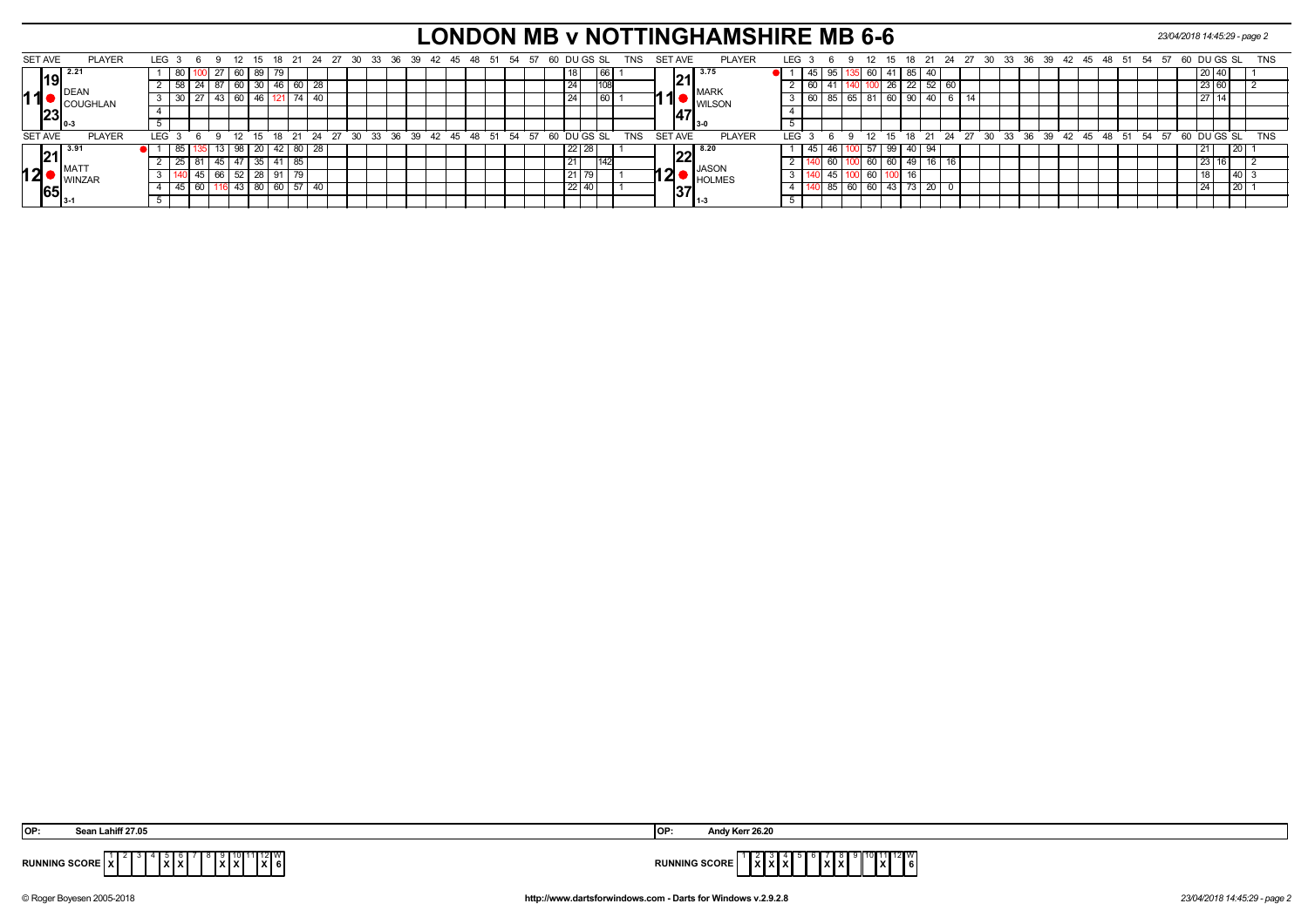# **LONDON MB v NOTTINGHAMSHIRE MB 6-6** *23/04/2018 14:45:29 - page 2*

|    | <b>SET AVE</b>                     | <b>PLAYER</b>   | LEG 3            |    | - 6 |                |    |                 |          |    |                                                 |  |  |  |  |  | 12 15 18 21 24 27 30 33 36 39 42 45 48 51 54 57 60 DUGS SL |    |         |            | TNS        |  | SET AVE        | <b>PLAYER</b>   |            |    | LEG $3$ 6 $9$ |    |           |    |       |            |                 |  |  |  |  | 12 15 18 21 24 27 30 33 36 39 42 45 48 51 54 57 60         |  | DU GS SL |      | <b>TNS</b> |  |
|----|------------------------------------|-----------------|------------------|----|-----|----------------|----|-----------------|----------|----|-------------------------------------------------|--|--|--|--|--|------------------------------------------------------------|----|---------|------------|------------|--|----------------|-----------------|------------|----|---------------|----|-----------|----|-------|------------|-----------------|--|--|--|--|------------------------------------------------------------|--|----------|------|------------|--|
|    | 19                                 | 2.2             |                  |    |     | $\mathcal{L}I$ | υo |                 |          |    |                                                 |  |  |  |  |  |                                                            |    |         |            |            |  |                | 3.75            |            |    |               |    | <b>OU</b> |    | 85    | -40        |                 |  |  |  |  |                                                            |  |          |      |            |  |
|    |                                    | <b>IDEAN</b>    |                  |    |     |                | 60 | 30 I            |          | 60 |                                                 |  |  |  |  |  |                                                            | 24 |         |            |            |  |                | <b>MARK</b>     |            |    |               |    |           | 20 | 22    | -52        | $\overline{60}$ |  |  |  |  |                                                            |  |          |      |            |  |
| 11 |                                    | COUGHLAN        |                  |    |     |                | 60 |                 |          |    |                                                 |  |  |  |  |  |                                                            |    |         |            |            |  |                | <b>I</b> WILSON |            |    | 85            | 65 | 81 60     |    | 90    | -40        |                 |  |  |  |  |                                                            |  |          |      |            |  |
|    | $\left\ 23\right\ _\infty$         |                 |                  |    |     |                |    |                 |          |    |                                                 |  |  |  |  |  |                                                            |    |         |            |            |  |                |                 |            |    |               |    |           |    |       |            |                 |  |  |  |  |                                                            |  |          |      |            |  |
|    |                                    |                 |                  |    |     |                |    |                 |          |    |                                                 |  |  |  |  |  |                                                            |    |         |            |            |  |                |                 |            |    |               |    |           |    |       |            |                 |  |  |  |  |                                                            |  |          |      |            |  |
|    | <b>SET AVE</b>                     | <b>PLAYER</b>   | LEG <sup>3</sup> |    |     |                |    |                 |          |    | 12 15 18 21 24 27 30 33 36 39 42 45 48 51 54 57 |  |  |  |  |  |                                                            |    |         | 60 DUGS SL | <b>TNS</b> |  | <b>SET AVE</b> | <b>PLAYER</b>   | <b>IFG</b> |    | G Q           |    |           |    |       |            |                 |  |  |  |  | 12 15 18 21 24 27 30 33 36 39 42 45 48 51 54 57 60 DUGS SL |  |          |      | <b>TNS</b> |  |
|    | $\sqrt{21}^{3.9}$                  |                 |                  |    |     | 13   98        |    |                 |          |    | 20   42   80   28                               |  |  |  |  |  |                                                            |    | $22$ 28 |            |            |  |                | 8.20            |            | 45 |               |    | 57 99     |    |       | $140$   94 |                 |  |  |  |  |                                                            |  |          | T 20 |            |  |
|    |                                    | <b>IMA</b>      |                  |    |     |                |    | 35 I 41         |          | 85 |                                                 |  |  |  |  |  |                                                            |    |         |            |            |  |                | <b>JASON</b>    |            |    |               |    | $-60$     | 60 | 49    |            |                 |  |  |  |  |                                                            |  |          |      |            |  |
|    | 12                                 | <b>I</b> WINZAR |                  |    |     |                | 52 | 28 <sub>1</sub> |          |    |                                                 |  |  |  |  |  |                                                            |    |         |            |            |  |                | <b>HOLMES</b>   |            |    |               |    | 60        |    |       |            |                 |  |  |  |  |                                                            |  |          |      |            |  |
|    | $^{\textsf{I65}}$ $_{\textsf{I3}}$ |                 |                  | 45 |     |                |    |                 | 80 60 57 |    | .40                                             |  |  |  |  |  |                                                            |    | $22$ 40 |            |            |  | 137            |                 |            |    | 65            | 60 | 60        |    | 43 73 | 20         |                 |  |  |  |  |                                                            |  |          |      |            |  |
|    |                                    |                 |                  |    |     |                |    |                 |          |    |                                                 |  |  |  |  |  |                                                            |    |         |            |            |  |                | ة-11            |            |    |               |    |           |    |       |            |                 |  |  |  |  |                                                            |  |          |      |            |  |

| IOF                                       |                                               |
|-------------------------------------------|-----------------------------------------------|
| $\sqrt{2}$<br><b>IXI6</b><br><b>IXIXI</b> | 1   1   2   VV<br>1xI<br>$\ X\ X\ $<br>∕JURF∶ |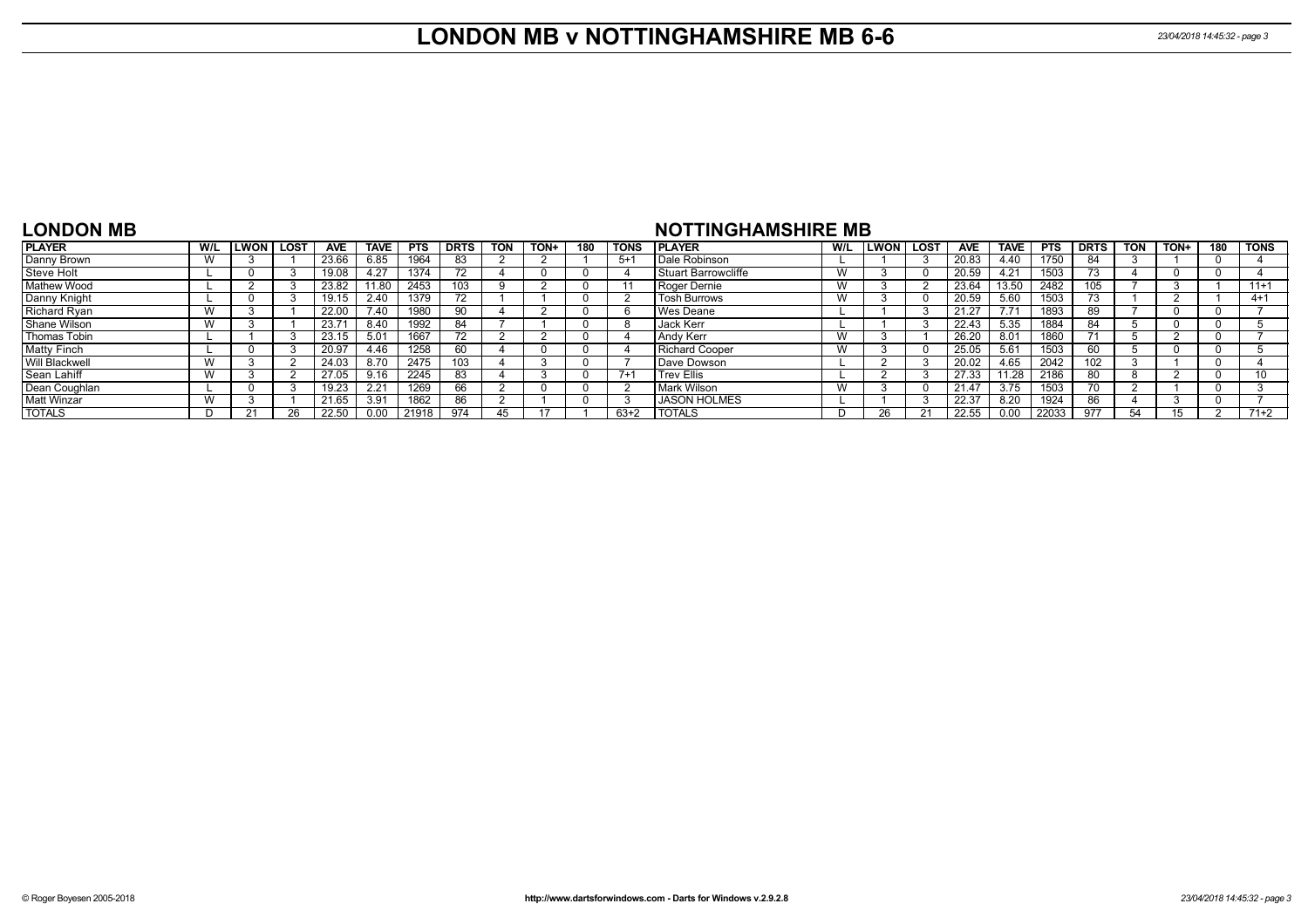### **LONDON MB v NOTTINGHAMSHIRE MB 6-6** *23/04/2018 14:45:32 - page 3*

#### **LONDON MB**

#### **NOTTINGHAMSHIRE MB**

| <b>PLAYER</b>       | W/L | .won I | <b>LOST</b> | <b>AVE</b> | <b>TAVE</b> | <b>PTS</b> | <b>DRTS</b> | <b>TON</b> | TON+ | 180 | <b>TONS</b> | <b>I PLAYER</b>              | W/L | <b>ILWON</b> | LOS <sub>1</sub> | <b>AVE</b> | <b>TAVE</b> | <b>PTS</b> | <b>DRTS</b> | <b>TON</b> | TON+ | 180 | <b>TONS</b> |
|---------------------|-----|--------|-------------|------------|-------------|------------|-------------|------------|------|-----|-------------|------------------------------|-----|--------------|------------------|------------|-------------|------------|-------------|------------|------|-----|-------------|
| Danny Brown         | W   |        |             | 23.66      | 6.85        | 1964       | 83          |            |      |     | $5+$        | Dale Robinson                |     |              |                  | 20.83      | 4.40        | 1750       | 84          |            |      |     |             |
| Steve Holt          |     |        |             | 19.08      | 4.27        | 1374       |             |            |      |     |             | <b>I</b> Stuart Barrowcliffe | W   |              |                  | 20.59      | 4.21        | 1503       | 73          |            |      |     |             |
| Mathew Wood         |     |        |             | 23.82      | 1.80        | 2453       | 103         |            |      |     |             | Roger Dernie                 | W   |              |                  | 23.64      | 13.50       | 2482       | 105         |            |      |     | $11+1$      |
| Danny Knight        |     |        |             | 19.15      | 2.40        | 1379       |             |            |      |     |             | <b>Tosh Burrows</b>          | W   |              |                  | 20.59      | 5.60        | 1503       | 73          |            |      |     | $4 + 1$     |
| <b>Richard Ryan</b> | W   |        |             | 22.00      | 7.40        | 1980       |             |            |      |     |             | Wes Deane                    |     |              |                  | 21.27      | 7.71        | 1893       | 89          |            |      |     |             |
| Shane Wilson        | W   |        |             | 23.7       | 8.40        | 1992       | 84.         |            |      |     |             | Jack Kerr                    |     |              |                  | 22.43      | 5.35        | 1884       | 84          |            |      |     |             |
| Thomas Tobin        |     |        |             | 23.15      | 5.01        | 1667       |             |            |      |     |             | Andy Kerr                    | W   |              |                  | 26.20      | 8.01        | 1860       | 74          |            |      |     |             |
| <b>Matty Finch</b>  |     |        |             | 20.97      | 4.46        | 1258       | 60          |            |      |     |             | <b>Richard Cooper</b>        | W   |              |                  | 25.05      | 5.61        | 1503       | 60          |            |      |     |             |
| Will Blackwell      | W   |        |             | 24.03      | 8.70        | 2475       | 103         |            |      |     |             | Dave Dowson                  |     |              |                  | 20.02      | 4.65        | 2042       | 102         |            |      |     |             |
| Sean Lahiff         | W   |        |             | 27.05      | 9.16        | 2245       | 83          |            |      |     | $7+$        | <b>Trev Ellis</b>            |     |              |                  | 27.33      | 11.28       | 2186       | 80          |            |      |     | 10          |
| Dean Coughlan       |     |        |             | 19.23      | 2.21        | 1269       | 66          |            |      |     |             | Mark Wilson                  | W   |              |                  | 21.47      | 3.75        | 1503       | 70          |            |      |     |             |
| <b>Matt Winzar</b>  | W   |        |             | 21.65      | 3.91        | 1862       | 86          |            |      |     |             | <b>JASON HOLMES</b>          |     |              |                  | 22.37      | 8.20        | 1924       | 86          |            |      |     |             |
| <b>TOTALS</b>       |     |        |             | 22.50      |             | 21918      | 974         | 45         |      |     | 63+2        | <b>TOTALS</b>                |     |              |                  | 22.55      | 0.00        | 22033      | 977         | .54        | 15   |     | $71+2$      |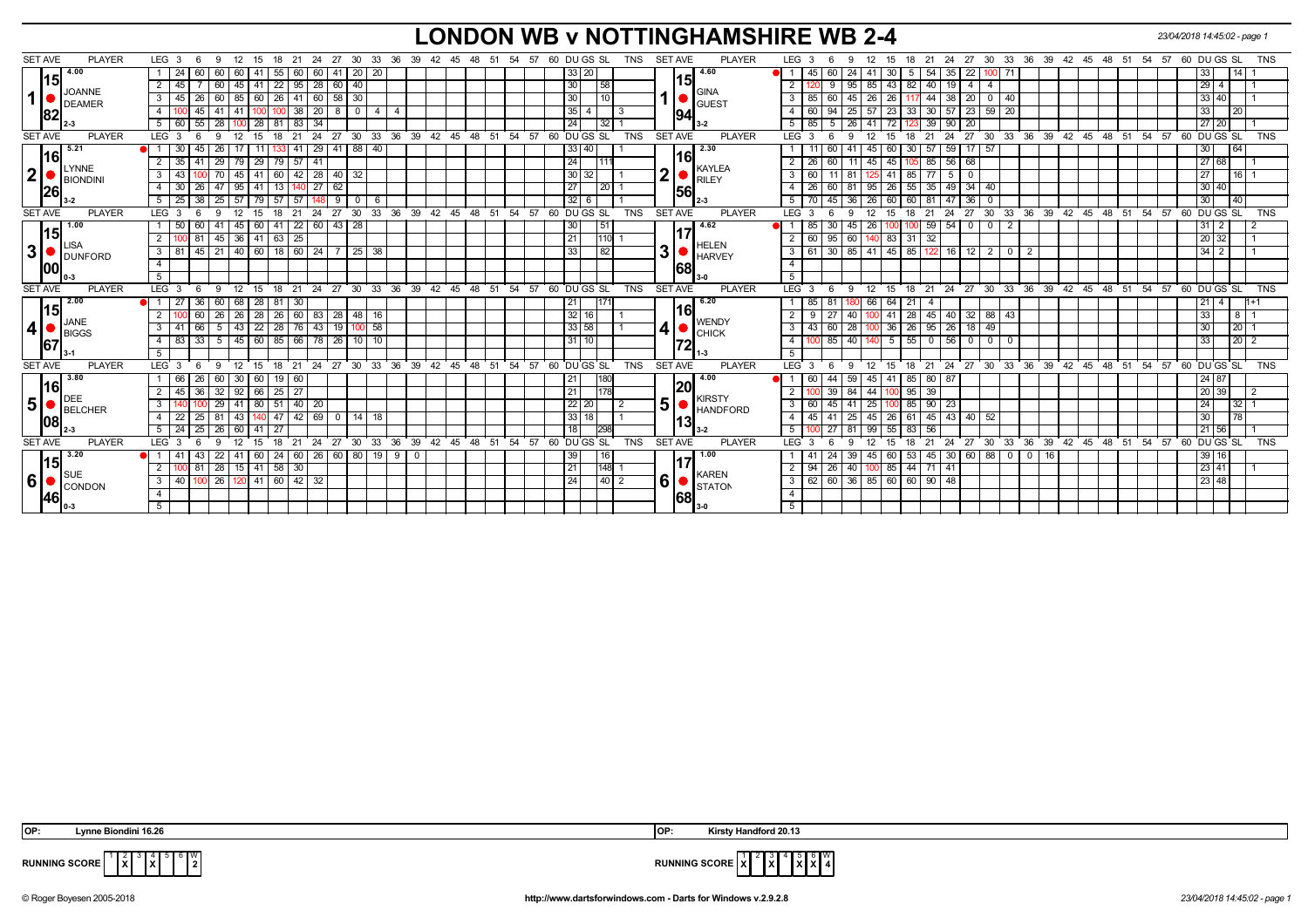# **LONDON WB v NOTTINGHAMSHIRE WB 2-4** *23/04/2018 14:45:02 - page 1*

| <b>SET AVE</b>                            | <b>PLAYER</b> | LEG <sub>3</sub>    | - 6<br>-9                        | 12<br>15                  | 18                | - 21<br>24          | 27            |                              |                            |     |             |  |       | 30 33 36 39 42 45 48 51 54 57 60 DU GS SL               | TNS                | <b>SET AVE</b> | <b>PLAYER</b>                         | LEG 3                         | 9                        | 12<br>15                 | 18       | 21 24                            |                |                                     |                |    |                       |               |               |    | 27 30 33 36 39 42 45 48 51 54 57 60 DUGS SL             |                             |             | <b>TNS</b> |
|-------------------------------------------|---------------|---------------------|----------------------------------|---------------------------|-------------------|---------------------|---------------|------------------------------|----------------------------|-----|-------------|--|-------|---------------------------------------------------------|--------------------|----------------|---------------------------------------|-------------------------------|--------------------------|--------------------------|----------|----------------------------------|----------------|-------------------------------------|----------------|----|-----------------------|---------------|---------------|----|---------------------------------------------------------|-----------------------------|-------------|------------|
| 4.00                                      |               | -24                 | 60                               | 60<br>41                  | 55                | 60<br>60            | 41 20         | 20                           |                            |     |             |  |       | 33 20                                                   |                    |                | 4.60                                  | 45                            | 60<br>24                 | 41                       |          | 35<br>54                         | 22             | 100 71                              |                |    |                       |               |               |    |                                                         | 33                          | 14          |            |
| 15                                        |               | $2 \mid 45$         |                                  | 41<br>45                  | $22 \mid 95$      | 28                  | 60 40         |                              |                            |     |             |  |       | 30                                                      | 58                 |                | 15                                    |                               | 95                       | 43<br>85                 | 82       | 19<br>40                         | $\overline{4}$ | -4                                  |                |    |                       |               |               |    |                                                         | $29 \mid 4$                 |             |            |
| <b>JOANNE</b><br>1 <sup>1</sup>           |               | $3 \mid 45$         | 26<br>60                         | 60<br>85                  |                   | $26$ 41 60          | 58 30         |                              |                            |     |             |  |       | 30                                                      | 10                 |                | <b>GINA</b>                           | $\mathbf{3}$<br>85            | 45                       | 26<br>26                 |          | 44<br>38                         | 20             | $0 \mid 40$                         |                |    |                       |               |               |    |                                                         | 33   40                     |             |            |
| DEAMER                                    |               | 4                   | 45                               | l 41                      |                   | 20<br>38            | - 8           | $\sqrt{0}$<br>$\overline{4}$ | $\overline{4}$             |     |             |  |       | 35<br>4                                                 | $\vert$ 3          |                | <b>GUEST</b>                          | $\overline{4}$<br>60          | 25                       | 57<br>$23 \mid 33$       |          | 30   57   23                     |                | $59 \mid 20$                        |                |    |                       |               |               |    |                                                         | 33 <sup>1</sup>             | 20          |            |
| 82                                        |               | 5 60                | 55<br>28                         | $\overline{28}$           | 81                | 34<br>$\sqrt{83}$   |               |                              |                            |     |             |  |       | 24                                                      | 32                 |                | 94                                    | 5<br>85                       | 26<br>-41<br>5           | 72                       |          | $90$   20<br>39                  |                |                                     |                |    |                       |               |               |    |                                                         | 27 20                       |             |            |
| <b>SET AVE</b>                            | <b>PLAYER</b> | LEG <sup>3</sup>    | $\mathbf{q}$                     | 12<br>15                  | 18                | $^{\circ}$ 24<br>21 | $^{\circ}$ 27 | 30 <sup>°</sup>              | 33 36 39 42 45 48 51 54 57 |     |             |  |       | 60 DU GS SL                                             | <b>TNS</b>         | <b>SET AVE</b> | <b>PLAYER</b>                         | LEG <sub>3</sub>              | $\mathbf{Q}$             | 12<br>15                 | 21<br>18 | $^{\circ}$ 24                    |                |                                     |                |    |                       |               |               |    | 27 30 33 36 39 42 45 48 51 54 57 60 DUGS SL             |                             |             | <b>TNS</b> |
| 5.21                                      |               |                     | 45<br>26                         |                           |                   | 29                  | $41$ 88       | 40                           |                            |     |             |  |       | 33<br>40                                                |                    |                | 2.30                                  |                               |                          | 45 I<br>60               | 30       | 57                               | $59$ 17        | 57                                  |                |    |                       |               |               |    |                                                         | 30 <sup>1</sup>             | 64          |            |
| 16                                        |               | $2 \mid 35$         | 29<br>41                         | 29<br>l 79                | $79 \mid 57$      | 41                  |               |                              |                            |     |             |  |       | 24                                                      | 111                |                | <b>16</b>                             | 26                            | 60 l<br>11               | 45<br>45 <sup>1</sup>    |          | 105 85 56 68                     |                |                                     |                |    |                       |               |               |    |                                                         | 27 68                       |             |            |
| LYNNE<br>2 <sub>1</sub><br><b>BIONDIN</b> |               | $3 \overline{43}$   | 70                               | 41<br>45                  |                   | 60 42 28 40 32      |               |                              |                            |     |             |  |       | 30<br>32                                                |                    | 2              | <b>KAYLEA</b><br>$\blacksquare$ RILEY | $\mathbf{3}$<br>60            | $11$ 81                  | 41 I<br>125 <sub>1</sub> | 85       | 77<br>- 5 I                      | $\mathbf 0$    |                                     |                |    |                       |               |               |    |                                                         | 27                          | 16          |            |
| 26                                        |               | $4 \overline{30}$   | 26<br>47 95                      | 41                        | 13                | 27<br>l 140         | 62            |                              |                            |     |             |  |       | 27                                                      | $\vert 20 \vert$ 1 |                | 56                                    | 26<br>$\overline{4}$          | 60 81                    | 95 26 55 35 49 34 40     |          |                                  |                |                                     |                |    |                       |               |               |    |                                                         | 30 40                       |             |            |
|                                           |               | $5 \mid 25$         | 38<br>$25 \mid 57 \mid$          | 79                        | $57$ 57           | 1481                | - 9           | 6<br>$\Omega$                |                            |     |             |  |       | 32<br>6                                                 |                    |                | 2-3                                   | 5                             | 45 36                    | 26 60 60 81 47 36        |          |                                  |                | $\overline{\mathbf{0}}$             |                |    |                       |               |               |    |                                                         | 30 <sup>1</sup>             | 40          |            |
| <b>SET AVE</b>                            | <b>PLAYER</b> | LEG <sub>3</sub>    | 9                                | 15                        | 18                | 24<br>21            | 27            | 30 <sup>°</sup>              | 33 36 39 42 45 48 51 54 57 |     |             |  |       | 60 DU GS SL                                             | <b>TNS</b>         | <b>SET AVE</b> | <b>PLAYER</b>                         | $LEG$ 3                       |                          | 12<br>15                 | 21<br>18 | 24                               |                |                                     |                |    |                       |               |               |    | 27 30 33 36 39 42 45 48 51 54 57 60 DUGS SL             |                             |             | <b>TNS</b> |
| 1.00                                      |               | 1 50                | 60                               | $41 \mid 45 \mid$<br>60   | $41 \mid 22 \mid$ | 60                  | 43 28         |                              |                            |     |             |  |       | 30                                                      | 51                 |                | 4.62                                  | 85                            | -30 I<br>45              | -26                      |          | $59 \mid 54 \mid 0$              |                | $\cdot$ 0 $\cdot$<br>$\overline{2}$ |                |    |                       |               |               |    |                                                         | $31 \mid 2$                 |             |            |
| 15 <br><b>LISA</b>                        |               | 00 81<br>2 I        | $45 \mid 36 \mid$                |                           | $141$ 63 $25$     |                     |               |                              |                            |     |             |  |       | 21                                                      | 110                |                | <b>HELEN</b>                          | 60<br>$\overline{2}$          | $95 \ 60 \ 140$          | $83$ 31                  |          | 32                               |                |                                     |                |    |                       |               |               |    |                                                         | 20 32                       |             |            |
| 3 <br>DUNFORD                             |               | $3 \mid 81$         | 45   21   40   60   18   60   24 |                           |                   |                     |               | 25 <br>38                    |                            |     |             |  |       | 33                                                      | 82                 | 3              | <b>HARVEY</b>                         | $\mathbf{3}$<br>61            | 30 85 41 45 85 122 16 12 |                          |          |                                  |                | $\vert 2 \vert$<br>$\circ$ 1        | $\overline{2}$ |    |                       |               |               |    |                                                         | $34 \mid 2$                 |             |            |
| 100                                       |               | $\overline{4}$      |                                  |                           |                   |                     |               |                              |                            |     |             |  |       |                                                         |                    |                | 68                                    | $\overline{4}$                |                          |                          |          |                                  |                |                                     |                |    |                       |               |               |    |                                                         |                             |             |            |
|                                           |               | 5                   |                                  |                           |                   |                     |               |                              |                            |     |             |  |       |                                                         |                    |                |                                       | 5                             |                          |                          |          |                                  |                |                                     |                |    |                       |               |               |    |                                                         |                             |             |            |
| <b>SET AVE</b>                            | <b>PLAYER</b> | LEG <sub>3</sub>    | $9 \t12$<br>6                    |                           |                   |                     |               |                              |                            |     |             |  |       | 15 18 21 24 27 30 33 36 39 42 45 48 51 54 57 60 DUGS SL | <b>TNS</b>         | <b>SET AVE</b> | <b>PLAYER</b>                         | LEG <sup>3</sup>              | 12<br>9<br>- 6           |                          |          |                                  |                |                                     |                |    |                       |               |               |    | 15 18 21 24 27 30 33 36 39 42 45 48 51 54 57 60 DUGS SL |                             |             | <b>TNS</b> |
| 12.00<br> 15                              |               | 27                  | 36<br>60 l                       | 28<br>68                  | 81 30             |                     |               |                              |                            |     |             |  |       | 21                                                      | 171                |                | 6.20<br> 16                           | -85 I                         | 81<br>180                | 66<br>64 I               | 21<br>-4 |                                  |                |                                     |                |    |                       |               |               |    |                                                         |                             |             |            |
| JANE                                      |               | $\overline{2}$      | 60<br>26                         | 28<br>$\sqrt{26}$         | $26 \mid 60$      | 83                  | 28 48         | 16                           |                            |     |             |  |       | 32<br>16                                                |                    |                | <b>WENDY</b>                          | 2<br>9                        | 27 <sup>1</sup><br>40    |                          |          | 41   28   45   40   32   88   43 |                |                                     |                |    |                       |               |               |    |                                                         | 33                          | $8 \mid 1$  |            |
| $\vert$ 4<br><b>BIGGS</b>                 |               | $3 \overline{41}$   | 66<br>$5 \mid 43 \mid$           | $\overline{22}$           | $\boxed{28}$ 76   | 43                  | 19 100        | 58                           |                            |     |             |  |       | 33 58                                                   |                    | 4              | $\bullet$ CHICK                       | 3<br>43                       | $60$   28                |                          |          | 36 26 95 26 18 49                |                |                                     |                |    |                       |               |               |    |                                                         | 30 <sup>1</sup>             | $20$   1    |            |
| 67                                        |               | 4 8 8 3             | 33<br>$5 \mid 45$                | 60                        | 85   66           |                     | 78 26 10      | 10                           |                            |     |             |  |       | 31<br>10                                                |                    |                | 172                                   | $\overline{4}$                | 85 40                    | $5 \mid 55$<br>140       |          | $0 56 0$                         |                | 0 1 0                               |                |    |                       |               |               |    |                                                         | 33                          | $20$   2    |            |
|                                           |               | 5                   |                                  |                           |                   |                     |               |                              |                            |     |             |  |       |                                                         |                    |                | l 1-3                                 | 5                             |                          |                          |          |                                  |                |                                     |                |    |                       |               |               |    |                                                         |                             |             |            |
| <b>SET AVE</b>                            | <b>PLAYER</b> | LEG <sub>3</sub>    | 9<br>-6                          | 12<br>15                  | 18                | 21<br>24            | 27 30         |                              | 33 36 39                   |     |             |  |       | 42 45 48 51 54 57 60 DUGS SL                            | <b>TNS</b>         | <b>SET AVE</b> | <b>PLAYER</b>                         | LEG <sup>3</sup>              | -9                       | 12<br>15                 | 18       |                                  |                |                                     |                |    |                       |               |               |    | 21 24 27 30 33 36 39 42 45 48 51 54 57 60 DUGS SL       |                             |             | <b>TNS</b> |
| 13.80<br> 16                              |               |                     | 26                               | 60<br>30                  | 19   60           |                     |               |                              |                            |     |             |  |       | 21                                                      |                    |                | 4.00<br>20                            |                               | 59                       | 45<br>41                 | 85       | 80 87                            |                |                                     |                |    |                       |               |               |    |                                                         | 24 87                       |             |            |
| DEE                                       |               | $2 \mid 45$         | 36<br>32   92                    | 66                        | $25 \mid 27$      |                     |               |                              |                            |     |             |  |       | 21                                                      |                    |                | <b>KIRSTY</b>                         |                               | 84<br>39 <sup>1</sup>    | $-44$                    | $100$ 95 | 39                               |                |                                     |                |    |                       |               |               |    |                                                         | 20 39                       |             |            |
| 5 <sup>1</sup><br><b>BELCHER</b>          |               | $\overline{3}$      | 29                               | $\overline{80}$<br>l 41 l | $51$ 40           | $\overline{20}$     |               |                              |                            |     |             |  |       | 22<br>20                                                | $\overline{2}$     | 5 <sup>1</sup> | <b>HANDFORD</b>                       | $\overline{\mathbf{3}}$<br>60 | 45<br>41                 | 25                       |          | $100$ 85 90 23                   |                |                                     |                |    |                       |               |               |    |                                                         | 24                          | $32 \mid 1$ |            |
| 108                                       |               | $4 \overline{22}$   | 25<br>$81 \overline{)43}$        | 140                       | $47$   42         |                     | 69 0 14       | 18                           |                            |     |             |  |       | 33<br>18                                                |                    |                | 13                                    | $\overline{4}$<br>45          | 25<br>41                 | $26$ 61<br>$-45$         |          | $145$ 43 40                      |                | 52                                  |                |    |                       |               |               |    |                                                         | 30                          | 78          |            |
|                                           |               | $5 \ 24$            | $\overline{25}$<br>26            | $\overline{60}$<br>41     | 27                |                     |               |                              |                            |     |             |  | 54 57 | 18                                                      | 298                |                |                                       | 5                             | $27$ 81                  | $55 \mid 83$<br>99       |          | 56                               |                |                                     |                |    |                       |               |               |    |                                                         | $21 \overline{\smash{)}56}$ |             |            |
|                                           |               |                     |                                  |                           |                   |                     |               |                              |                            |     |             |  |       | 60 DUGS SL                                              | <b>TNS</b>         | <b>SET AVE</b> | <b>PLAYER</b>                         | LEG <sub>3</sub>              | -9                       | 12<br>15                 | 18       | $^{\circ}$ 24<br>21              | 27             | $\frac{1}{33}$<br>30                | 36             | 39 | 42 <sup>1</sup><br>45 | $^{\circ}$ 48 | $51 \quad 54$ | 57 | 60                                                      | DU GS SL                    |             | <b>TNS</b> |
| <b>SET AVE</b>                            | <b>PLAYER</b> | LEG <sup>3</sup>    | $\mathbf{q}$                     | 15                        | 18                | 24<br>$^{\circ}$ 21 | 27            | $30^{\circ}$<br>33           | 36                         | 39  | 42 45 48 51 |  |       |                                                         |                    |                |                                       |                               |                          |                          |          |                                  |                |                                     |                |    |                       |               |               |    |                                                         |                             |             |            |
| 13.20                                     |               |                     | 43<br>22                         | 60<br>l 41                | 24                | $\overline{60}$     | 26 60 80      |                              | $19$ 9                     | I 0 |             |  |       | 39                                                      | 16                 |                | 1.00                                  | -41                           | 39                       | 60<br>45                 | 53       | 45                               |                | 30 60 88 0 0                        |                |    |                       |               |               |    |                                                         | 39 16                       |             |            |
| 15 <br><b>I</b> SUE                       |               | <sup>2</sup>        | 81                               | $28$   15                 | $141$ 58 30       |                     |               |                              |                            |     |             |  |       | 21                                                      | 148                |                | <b>KAREN</b>                          | $\overline{2}$<br>94          | 40<br>26 I               |                          |          | 85 44 71 41                      |                |                                     |                |    |                       |               |               |    |                                                         | 23   41                     |             |            |
| 6 <br>CONDON                              |               | $3 \mid 40$         | 100 26 120 41 60 42 32           |                           |                   |                     |               |                              |                            |     |             |  |       | 24                                                      | 40 2               | 6              | $\blacksquare$ STATON                 | 3                             | 62 60 36 85 60 60 90 48  |                          |          |                                  |                |                                     |                |    |                       |               |               |    |                                                         | 23 48                       |             |            |
| 46                                        |               | $\overline{4}$<br>5 |                                  |                           |                   |                     |               |                              |                            |     |             |  |       |                                                         |                    |                | 68                                    | $\overline{4}$<br>5           |                          |                          |          |                                  |                |                                     |                |    |                       |               |               |    |                                                         |                             |             |            |

 **OP: Lynne Biondini 16.26 OP: Kirsty Handford 20.13**

3

5



**X X** 6 **X** W **4**